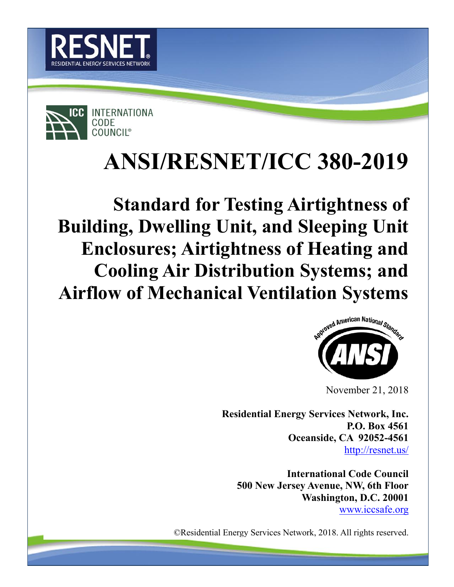



# **ANSI/RESNET/ICC 380-2019**

**Standard for Testing Airtightness of Building, Dwelling Unit, and Sleeping Unit Enclosures; Airtightness of Heating and Cooling Air Distribution Systems; and Airflow of Mechanical Ventilation Systems**



November 21, 2018

**Residential Energy Services Network, Inc. P.O. Box 4561 Oceanside, CA 92052-4561** <http://resnet.us/>

**International Code Council 500 New Jersey Avenue, NW, 6th Floor Washington, D.C. 20001** [www.iccsafe.org](http://www.iccsafe.org/)

©Residential Energy Services Network, 2018. All rights reserved.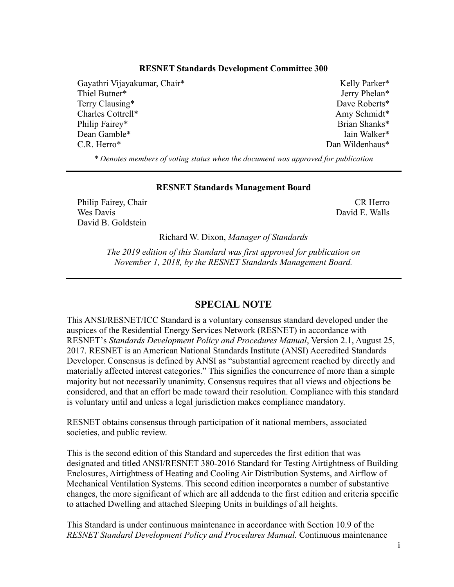#### **RESNET Standards Development Committee 300**

Gayathri Vijayakumar, Chair\* Thiel Butner\* Terry Clausing\* Charles Cottrell\* Philip Fairey\* Dean Gamble\* C.R. Herro\*

Kelly Parker\* Jerry Phelan\* Dave Roberts\* Amy Schmidt\* Brian Shanks\* Iain Walker\* Dan Wildenhaus\*

*\* Denotes members of voting status when the document was approved for publication*

#### **RESNET Standards Management Board**

Philip Fairey, Chair Wes Davis David B. Goldstein

CR Herro David E. Walls

Richard W. Dixon, *Manager of Standards*

*The 2019 edition of this Standard was first approved for publication on November 1, 2018, by the RESNET Standards Management Board.*

## **SPECIAL NOTE**

This ANSI/RESNET/ICC Standard is a voluntary consensus standard developed under the auspices of the Residential Energy Services Network (RESNET) in accordance with RESNET's *Standards Development Policy and Procedures Manual*, Version 2.1, August 25, 2017. RESNET is an American National Standards Institute (ANSI) Accredited Standards Developer. Consensus is defined by ANSI as "substantial agreement reached by directly and materially affected interest categories." This signifies the concurrence of more than a simple majority but not necessarily unanimity. Consensus requires that all views and objections be considered, and that an effort be made toward their resolution. Compliance with this standard is voluntary until and unless a legal jurisdiction makes compliance mandatory.

RESNET obtains consensus through participation of it national members, associated societies, and public review.

This is the second edition of this Standard and supercedes the first edition that was designated and titled ANSI/RESNET 380-2016 Standard for Testing Airtightness of Building Enclosures, Airtightness of Heating and Cooling Air Distribution Systems, and Airflow of Mechanical Ventilation Systems. This second edition incorporates a number of substantive changes, the more significant of which are all addenda to the first edition and criteria specific to attached Dwelling and attached Sleeping Units in buildings of all heights.

This Standard is under continuous maintenance in accordance with Section 10.9 of the *RESNET Standard Development Policy and Procedures Manual.* Continuous maintenance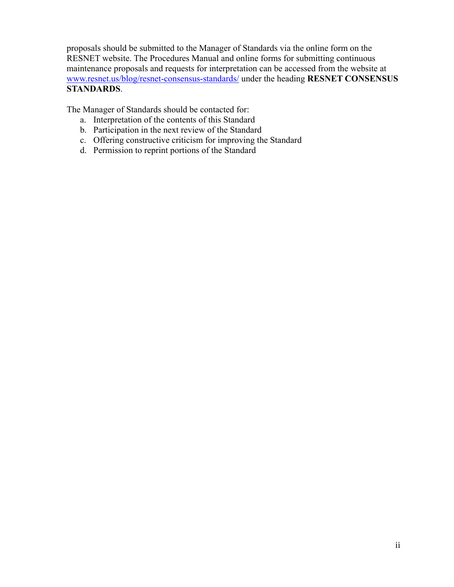proposals should be submitted to the Manager of Standards via the online form on the RESNET website. The Procedures Manual and online forms for submitting continuous maintenance proposals and requests for interpretation can be accessed from the website at [www.resnet.us/blog/resnet-consensus-standards/](http://www.resnet.us/blog/resnet-consensus-standards/) under the heading **RESNET CONSENSUS STANDARDS**.

The Manager of Standards should be contacted for:

- a. Interpretation of the contents of this Standard
- b. Participation in the next review of the Standard
- c. Offering constructive criticism for improving the Standard
- d. Permission to reprint portions of the Standard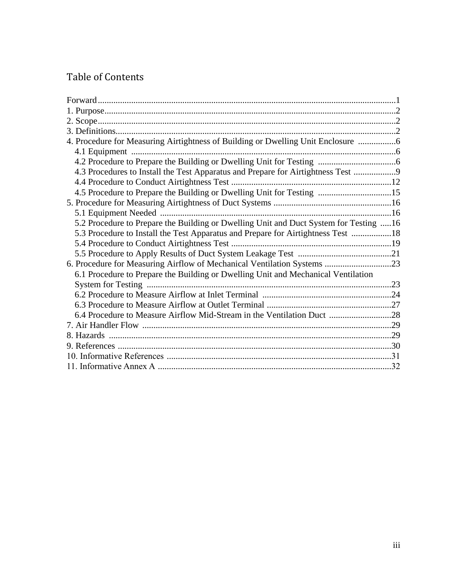## Table of Contents

| 4. Procedure for Measuring Airtightness of Building or Dwelling Unit Enclosure 6      |  |
|---------------------------------------------------------------------------------------|--|
|                                                                                       |  |
|                                                                                       |  |
| 4.3 Procedures to Install the Test Apparatus and Prepare for Airtightness Test 9      |  |
|                                                                                       |  |
| 4.5 Procedure to Prepare the Building or Dwelling Unit for Testing 15                 |  |
|                                                                                       |  |
|                                                                                       |  |
| 5.2 Procedure to Prepare the Building or Dwelling Unit and Duct System for Testing 16 |  |
| 5.3 Procedure to Install the Test Apparatus and Prepare for Airtightness Test 18      |  |
|                                                                                       |  |
|                                                                                       |  |
| 6. Procedure for Measuring Airflow of Mechanical Ventilation Systems 23               |  |
| 6.1 Procedure to Prepare the Building or Dwelling Unit and Mechanical Ventilation     |  |
|                                                                                       |  |
|                                                                                       |  |
|                                                                                       |  |
| 6.4 Procedure to Measure Airflow Mid-Stream in the Ventilation Duct 28                |  |
|                                                                                       |  |
|                                                                                       |  |
|                                                                                       |  |
|                                                                                       |  |
|                                                                                       |  |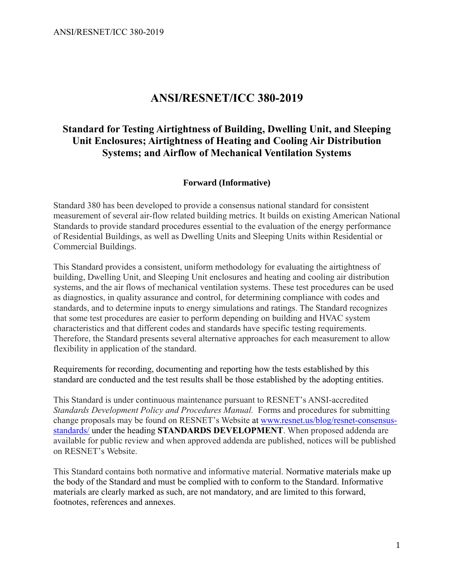## **ANSI/RESNET/ICC 380-2019**

## **Standard for Testing Airtightness of Building, Dwelling Unit, and Sleeping Unit Enclosures; Airtightness of Heating and Cooling Air Distribution Systems; and Airflow of Mechanical Ventilation Systems**

## **Forward (Informative)**

Standard 380 has been developed to provide a consensus national standard for consistent measurement of several air-flow related building metrics. It builds on existing American National Standards to provide standard procedures essential to the evaluation of the energy performance of Residential Buildings, as well as Dwelling Units and Sleeping Units within Residential or Commercial Buildings.

This Standard provides a consistent, uniform methodology for evaluating the airtightness of building, Dwelling Unit, and Sleeping Unit enclosures and heating and cooling air distribution systems, and the air flows of mechanical ventilation systems. These test procedures can be used as diagnostics, in quality assurance and control, for determining compliance with codes and standards, and to determine inputs to energy simulations and ratings. The Standard recognizes that some test procedures are easier to perform depending on building and HVAC system characteristics and that different codes and standards have specific testing requirements. Therefore, the Standard presents several alternative approaches for each measurement to allow flexibility in application of the standard.

Requirements for recording, documenting and reporting how the tests established by this standard are conducted and the test results shall be those established by the adopting entities.

This Standard is under continuous maintenance pursuant to RESNET's ANSI-accredited *Standards Development Policy and Procedures Manual.* Forms and procedures for submitting change proposals may be found on RESNET's Website at [www.resnet.us/blog/resnet-consensus](http://www.resnet.us/blog/resnet-consensus-standards/)[standards/](http://www.resnet.us/blog/resnet-consensus-standards/) under the heading **STANDARDS DEVELOPMENT**. When proposed addenda are available for public review and when approved addenda are published, notices will be published on RESNET's Website.

This Standard contains both normative and informative material. Normative materials make up the body of the Standard and must be complied with to conform to the Standard. Informative materials are clearly marked as such, are not mandatory, and are limited to this forward, footnotes, references and annexes.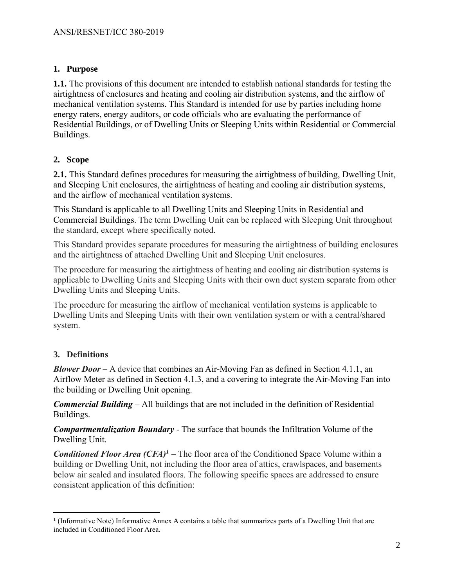## **1. Purpose**

**1.1.** The provisions of this document are intended to establish national standards for testing the airtightness of enclosures and heating and cooling air distribution systems, and the airflow of mechanical ventilation systems. This Standard is intended for use by parties including home energy raters, energy auditors, or code officials who are evaluating the performance of Residential Buildings, or of Dwelling Units or Sleeping Units within Residential or Commercial Buildings.

## **2. Scope**

**2.1.** This Standard defines procedures for measuring the airtightness of building, Dwelling Unit, and Sleeping Unit enclosures, the airtightness of heating and cooling air distribution systems, and the airflow of mechanical ventilation systems.

This Standard is applicable to all Dwelling Units and Sleeping Units in Residential and Commercial Buildings. The term Dwelling Unit can be replaced with Sleeping Unit throughout the standard, except where specifically noted.

This Standard provides separate procedures for measuring the airtightness of building enclosures and the airtightness of attached Dwelling Unit and Sleeping Unit enclosures.

The procedure for measuring the airtightness of heating and cooling air distribution systems is applicable to Dwelling Units and Sleeping Units with their own duct system separate from other Dwelling Units and Sleeping Units.

The procedure for measuring the airflow of mechanical ventilation systems is applicable to Dwelling Units and Sleeping Units with their own ventilation system or with a central/shared system.

## **3. Definitions**

 $\overline{a}$ 

*Blower Door –* A device that combines an Air-Moving Fan as defined in Section 4.1.1, an Airflow Meter as defined in Section 4.1.3, and a covering to integrate the Air-Moving Fan into the building or Dwelling Unit opening.

*Commercial Building* – All buildings that are not included in the definition of Residential Buildings.

*Compartmentalization Boundary* - The surface that bounds the Infiltration Volume of the Dwelling Unit.

*Conditioned Floor Area*  $(CFA)^{1}$  *– The floor area of the Conditioned Space Volume within a* building or Dwelling Unit, not including the floor area of attics, crawlspaces, and basements below air sealed and insulated floors. The following specific spaces are addressed to ensure consistent application of this definition:

<sup>1</sup> (Informative Note) Informative Annex A contains a table that summarizes parts of a Dwelling Unit that are included in Conditioned Floor Area.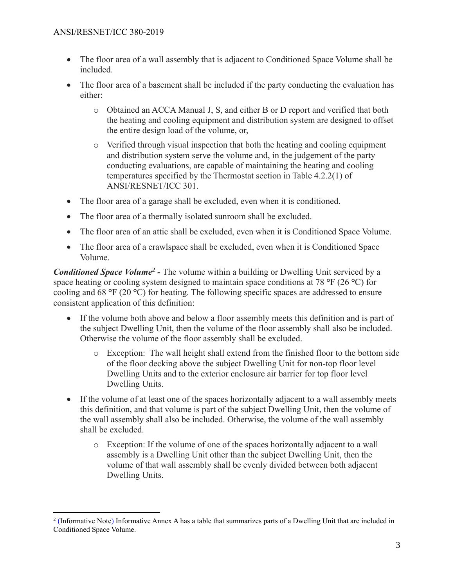$\overline{a}$ 

- The floor area of a wall assembly that is adjacent to Conditioned Space Volume shall be included.
- The floor area of a basement shall be included if the party conducting the evaluation has either:
	- o Obtained an ACCA Manual J, S, and either B or D report and verified that both the heating and cooling equipment and distribution system are designed to offset the entire design load of the volume, or,
	- o Verified through visual inspection that both the heating and cooling equipment and distribution system serve the volume and, in the judgement of the party conducting evaluations, are capable of maintaining the heating and cooling temperatures specified by the Thermostat section in Table 4.2.2(1) of ANSI/RESNET/ICC 301.
- The floor area of a garage shall be excluded, even when it is conditioned.
- The floor area of a thermally isolated sunroom shall be excluded.
- The floor area of an attic shall be excluded, even when it is Conditioned Space Volume.
- The floor area of a crawlspace shall be excluded, even when it is Conditioned Space Volume.

**Conditioned Space Volume<sup>2</sup>** - The volume within a building or Dwelling Unit serviced by a space heating or cooling system designed to maintain space conditions at 78 **°**F (26 **°**C) for cooling and 68 **°**F (20 **°**C) for heating. The following specific spaces are addressed to ensure consistent application of this definition:

- If the volume both above and below a floor assembly meets this definition and is part of the subject Dwelling Unit, then the volume of the floor assembly shall also be included. Otherwise the volume of the floor assembly shall be excluded.
	- $\circ$  Exception: The wall height shall extend from the finished floor to the bottom side of the floor decking above the subject Dwelling Unit for non-top floor level Dwelling Units and to the exterior enclosure air barrier for top floor level Dwelling Units.
- If the volume of at least one of the spaces horizontally adjacent to a wall assembly meets this definition, and that volume is part of the subject Dwelling Unit, then the volume of the wall assembly shall also be included. Otherwise, the volume of the wall assembly shall be excluded.
	- o Exception: If the volume of one of the spaces horizontally adjacent to a wall assembly is a Dwelling Unit other than the subject Dwelling Unit, then the volume of that wall assembly shall be evenly divided between both adjacent Dwelling Units.

<sup>&</sup>lt;sup>2</sup> (Informative Note) Informative Annex A has a table that summarizes parts of a Dwelling Unit that are included in Conditioned Space Volume.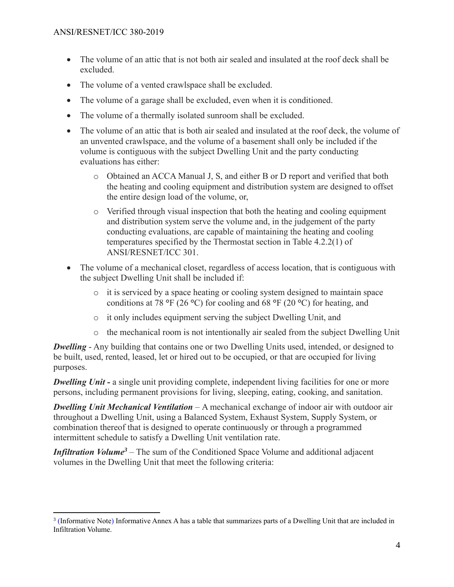- The volume of an attic that is not both air sealed and insulated at the roof deck shall be excluded.
- The volume of a vented crawlspace shall be excluded.
- The volume of a garage shall be excluded, even when it is conditioned.
- The volume of a thermally isolated sunroom shall be excluded.
- The volume of an attic that is both air sealed and insulated at the roof deck, the volume of an unvented crawlspace, and the volume of a basement shall only be included if the volume is contiguous with the subject Dwelling Unit and the party conducting evaluations has either:
	- o Obtained an ACCA Manual J, S, and either B or D report and verified that both the heating and cooling equipment and distribution system are designed to offset the entire design load of the volume, or,
	- $\circ$  Verified through visual inspection that both the heating and cooling equipment and distribution system serve the volume and, in the judgement of the party conducting evaluations, are capable of maintaining the heating and cooling temperatures specified by the Thermostat section in Table 4.2.2(1) of ANSI/RESNET/ICC 301.
- The volume of a mechanical closet, regardless of access location, that is contiguous with the subject Dwelling Unit shall be included if:
	- $\circ$  it is serviced by a space heating or cooling system designed to maintain space conditions at 78 **°**F (26 **°**C) for cooling and 68 **°**F (20 **°**C) for heating, and
	- o it only includes equipment serving the subject Dwelling Unit, and
	- $\circ$  the mechanical room is not intentionally air sealed from the subject Dwelling Unit

*Dwelling* - Any building that contains one or two Dwelling Units used, intended, or designed to be built, used, rented, leased, let or hired out to be occupied, or that are occupied for living purposes.

*Dwelling Unit* - a single unit providing complete, independent living facilities for one or more persons, including permanent provisions for living, sleeping, eating, cooking, and sanitation.

*Dwelling Unit Mechanical Ventilation* – A mechanical exchange of indoor air with outdoor air throughout a Dwelling Unit, using a Balanced System, Exhaust System, Supply System, or combination thereof that is designed to operate continuously or through a programmed intermittent schedule to satisfy a Dwelling Unit ventilation rate.

*Infiltration Volume<sup>3</sup>* – The sum of the Conditioned Space Volume and additional adjacent volumes in the Dwelling Unit that meet the following criteria:

<sup>&</sup>lt;sup>3</sup> (Informative Note) Informative Annex A has a table that summarizes parts of a Dwelling Unit that are included in Infiltration Volume.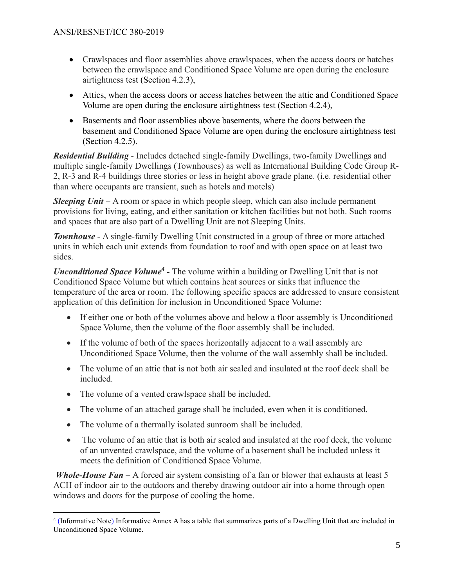- Crawlspaces and floor assemblies above crawlspaces, when the access doors or hatches between the crawlspace and Conditioned Space Volume are open during the enclosure airtightness test (Section 4.2.3),
- Attics, when the access doors or access hatches between the attic and Conditioned Space Volume are open during the enclosure airtightness test (Section 4.2.4),
- Basements and floor assemblies above basements, where the doors between the basement and Conditioned Space Volume are open during the enclosure airtightness test (Section 4.2.5).

*Residential Building -* Includes detached single-family Dwellings, two-family Dwellings and multiple single-family Dwellings (Townhouses) as well as International Building Code Group R-2, R-3 and R-4 buildings three stories or less in height above grade plane. (i.e. residential other than where occupants are transient, such as hotels and motels)

*Sleeping Unit* – A room or space in which people sleep, which can also include permanent provisions for living, eating, and either sanitation or kitchen facilities but not both. Such rooms and spaces that are also part of a Dwelling Unit are not Sleeping Units*.*

**Townhouse** - A single-family Dwelling Unit constructed in a group of three or more attached units in which each unit extends from foundation to roof and with open space on at least two sides.

*Unconditioned Space Volume<sup>4</sup>* - The volume within a building or Dwelling Unit that is not Conditioned Space Volume but which contains heat sources or sinks that influence the temperature of the area or room. The following specific spaces are addressed to ensure consistent application of this definition for inclusion in Unconditioned Space Volume:

- If either one or both of the volumes above and below a floor assembly is Unconditioned Space Volume, then the volume of the floor assembly shall be included.
- If the volume of both of the spaces horizontally adjacent to a wall assembly are Unconditioned Space Volume, then the volume of the wall assembly shall be included.
- The volume of an attic that is not both air sealed and insulated at the roof deck shall be included.
- The volume of a vented crawlspace shall be included.
- The volume of an attached garage shall be included, even when it is conditioned.
- The volume of a thermally isolated sunroom shall be included.
- The volume of an attic that is both air sealed and insulated at the roof deck, the volume of an unvented crawlspace, and the volume of a basement shall be included unless it meets the definition of Conditioned Space Volume.

*Whole-House Fan* – A forced air system consisting of a fan or blower that exhausts at least 5 ACH of indoor air to the outdoors and thereby drawing outdoor air into a home through open windows and doors for the purpose of cooling the home.

 4 (Informative Note) Informative Annex A has a table that summarizes parts of a Dwelling Unit that are included in Unconditioned Space Volume.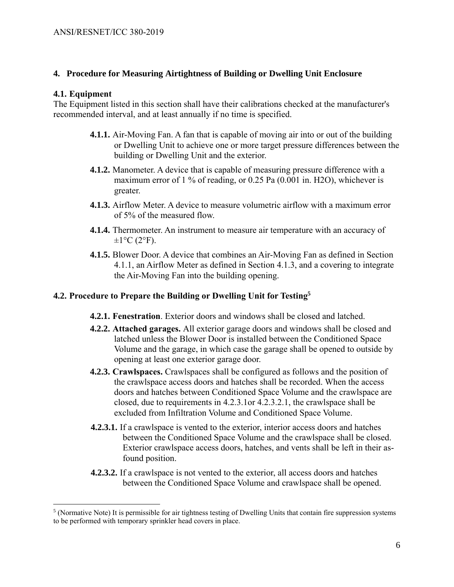## **4. Procedure for Measuring Airtightness of Building or Dwelling Unit Enclosure**

### **4.1. Equipment**

 $\overline{a}$ 

The Equipment listed in this section shall have their calibrations checked at the manufacturer's recommended interval, and at least annually if no time is specified.

- **4.1.1.** Air-Moving Fan. A fan that is capable of moving air into or out of the building or Dwelling Unit to achieve one or more target pressure differences between the building or Dwelling Unit and the exterior.
- **4.1.2.** Manometer. A device that is capable of measuring pressure difference with a maximum error of 1 % of reading, or 0.25 Pa (0.001 in. H2O), whichever is greater.
- **4.1.3.** Airflow Meter. A device to measure volumetric airflow with a maximum error of 5% of the measured flow.
- **4.1.4.** Thermometer. An instrument to measure air temperature with an accuracy of  $\pm 1$ °C (2°F).
- **4.1.5.** Blower Door. A device that combines an Air-Moving Fan as defined in Section 4.1.1, an Airflow Meter as defined in Section 4.1.3, and a covering to integrate the Air-Moving Fan into the building opening.

## **4.2. Procedure to Prepare the Building or Dwelling Unit for Testing<sup>5</sup>**

- **4.2.1. Fenestration**. Exterior doors and windows shall be closed and latched.
- **4.2.2. Attached garages.** All exterior garage doors and windows shall be closed and latched unless the Blower Door is installed between the Conditioned Space Volume and the garage, in which case the garage shall be opened to outside by opening at least one exterior garage door.
- **4.2.3. Crawlspaces.** Crawlspaces shall be configured as follows and the position of the crawlspace access doors and hatches shall be recorded. When the access doors and hatches between Conditioned Space Volume and the crawlspace are closed, due to requirements in 4.2.3.1or 4.2.3.2.1, the crawlspace shall be excluded from Infiltration Volume and Conditioned Space Volume.
- **4.2.3.1.** If a crawlspace is vented to the exterior, interior access doors and hatches between the Conditioned Space Volume and the crawlspace shall be closed. Exterior crawlspace access doors, hatches, and vents shall be left in their asfound position.
- **4.2.3.2.** If a crawlspace is not vented to the exterior, all access doors and hatches between the Conditioned Space Volume and crawlspace shall be opened.

 $<sup>5</sup>$  (Normative Note) It is permissible for air tightness testing of Dwelling Units that contain fire suppression systems</sup> to be performed with temporary sprinkler head covers in place.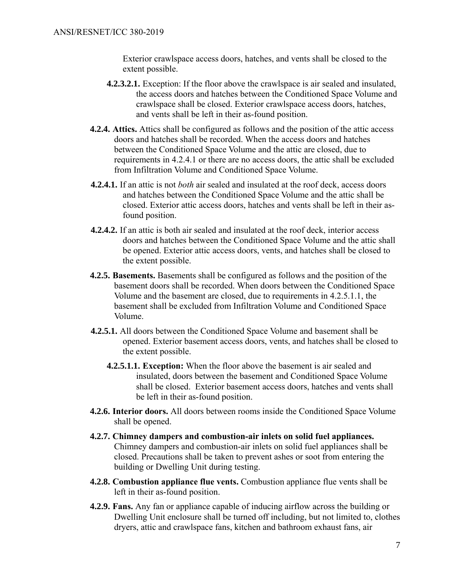Exterior crawlspace access doors, hatches, and vents shall be closed to the extent possible.

- **4.2.3.2.1.** Exception: If the floor above the crawlspace is air sealed and insulated, the access doors and hatches between the Conditioned Space Volume and crawlspace shall be closed. Exterior crawlspace access doors, hatches, and vents shall be left in their as-found position.
- **4.2.4. Attics.** Attics shall be configured as follows and the position of the attic access doors and hatches shall be recorded. When the access doors and hatches between the Conditioned Space Volume and the attic are closed, due to requirements in 4.2.4.1 or there are no access doors, the attic shall be excluded from Infiltration Volume and Conditioned Space Volume.
- **4.2.4.1.** If an attic is not *both* air sealed and insulated at the roof deck, access doors and hatches between the Conditioned Space Volume and the attic shall be closed. Exterior attic access doors, hatches and vents shall be left in their asfound position.
- **4.2.4.2.** If an attic is both air sealed and insulated at the roof deck, interior access doors and hatches between the Conditioned Space Volume and the attic shall be opened. Exterior attic access doors, vents, and hatches shall be closed to the extent possible.
- **4.2.5. Basements.** Basements shall be configured as follows and the position of the basement doors shall be recorded. When doors between the Conditioned Space Volume and the basement are closed, due to requirements in 4.2.5.1.1, the basement shall be excluded from Infiltration Volume and Conditioned Space Volume.
- **4.2.5.1.** All doors between the Conditioned Space Volume and basement shall be opened. Exterior basement access doors, vents, and hatches shall be closed to the extent possible.
	- **4.2.5.1.1. Exception:** When the floor above the basement is air sealed and insulated, doors between the basement and Conditioned Space Volume shall be closed. Exterior basement access doors, hatches and vents shall be left in their as-found position.
- **4.2.6. Interior doors.** All doors between rooms inside the Conditioned Space Volume shall be opened.
- **4.2.7. Chimney dampers and combustion-air inlets on solid fuel appliances.**  Chimney dampers and combustion-air inlets on solid fuel appliances shall be closed. Precautions shall be taken to prevent ashes or soot from entering the building or Dwelling Unit during testing.
- **4.2.8. Combustion appliance flue vents.** Combustion appliance flue vents shall be left in their as-found position.
- **4.2.9. Fans.** Any fan or appliance capable of inducing airflow across the building or Dwelling Unit enclosure shall be turned off including, but not limited to, clothes dryers, attic and crawlspace fans, kitchen and bathroom exhaust fans, air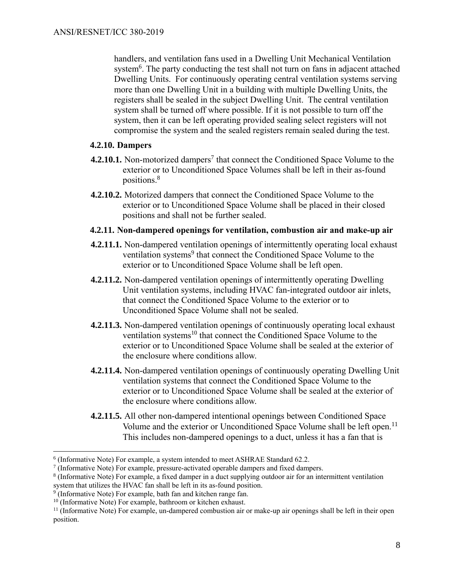handlers, and ventilation fans used in a Dwelling Unit Mechanical Ventilation system<sup>6</sup>. The party conducting the test shall not turn on fans in adjacent attached Dwelling Units. For continuously operating central ventilation systems serving more than one Dwelling Unit in a building with multiple Dwelling Units, the registers shall be sealed in the subject Dwelling Unit. The central ventilation system shall be turned off where possible. If it is not possible to turn off the system, then it can be left operating provided sealing select registers will not compromise the system and the sealed registers remain sealed during the test.

## **4.2.10. Dampers**

- **4.2.10.1.** Non-motorized dampers<sup>7</sup> that connect the Conditioned Space Volume to the exterior or to Unconditioned Space Volumes shall be left in their as-found positions.<sup>8</sup>
- **4.2.10.2.** Motorized dampers that connect the Conditioned Space Volume to the exterior or to Unconditioned Space Volume shall be placed in their closed positions and shall not be further sealed.

## **4.2.11. Non-dampered openings for ventilation, combustion air and make-up air**

- **4.2.11.1.** Non-dampered ventilation openings of intermittently operating local exhaust ventilation systems<sup>9</sup> that connect the Conditioned Space Volume to the exterior or to Unconditioned Space Volume shall be left open.
- **4.2.11.2.** Non-dampered ventilation openings of intermittently operating Dwelling Unit ventilation systems, including HVAC fan-integrated outdoor air inlets, that connect the Conditioned Space Volume to the exterior or to Unconditioned Space Volume shall not be sealed.
- **4.2.11.3.** Non-dampered ventilation openings of continuously operating local exhaust ventilation systems<sup>10</sup> that connect the Conditioned Space Volume to the exterior or to Unconditioned Space Volume shall be sealed at the exterior of the enclosure where conditions allow.
- **4.2.11.4.** Non-dampered ventilation openings of continuously operating Dwelling Unit ventilation systems that connect the Conditioned Space Volume to the exterior or to Unconditioned Space Volume shall be sealed at the exterior of the enclosure where conditions allow.
- **4.2.11.5.** All other non-dampered intentional openings between Conditioned Space Volume and the exterior or Unconditioned Space Volume shall be left open.<sup>11</sup> This includes non-dampered openings to a duct, unless it has a fan that is

<sup>&</sup>lt;sup>6</sup> (Informative Note) For example, a system intended to meet ASHRAE Standard 62.2.

 $7$  (Informative Note) For example, pressure-activated operable dampers and fixed dampers.

<sup>8</sup> (Informative Note) For example, a fixed damper in a duct supplying outdoor air for an intermittent ventilation system that utilizes the HVAC fan shall be left in its as-found position.

<sup>&</sup>lt;sup>9</sup> (Informative Note) For example, bath fan and kitchen range fan.

<sup>&</sup>lt;sup>10</sup> (Informative Note) For example, bathroom or kitchen exhaust.

 $11$  (Informative Note) For example, un-dampered combustion air or make-up air openings shall be left in their open position.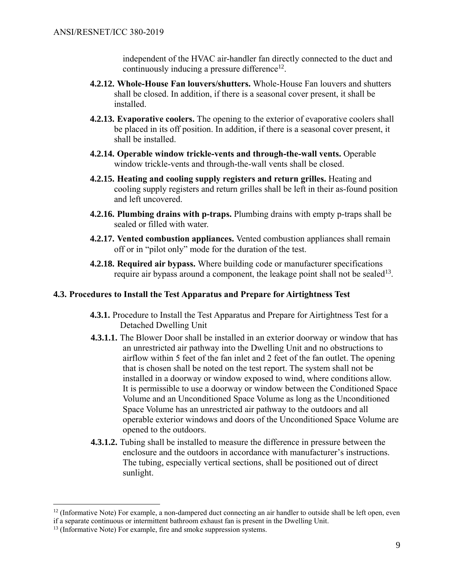independent of the HVAC air-handler fan directly connected to the duct and continuously inducing a pressure difference $^{12}$ .

- **4.2.12. Whole-House Fan louvers/shutters.** Whole-House Fan louvers and shutters shall be closed. In addition, if there is a seasonal cover present, it shall be installed.
- **4.2.13. Evaporative coolers.** The opening to the exterior of evaporative coolers shall be placed in its off position. In addition, if there is a seasonal cover present, it shall be installed.
- **4.2.14. Operable window trickle-vents and through-the-wall vents.** Operable window trickle-vents and through-the-wall vents shall be closed.
- **4.2.15. Heating and cooling supply registers and return grilles.** Heating and cooling supply registers and return grilles shall be left in their as-found position and left uncovered.
- **4.2.16. Plumbing drains with p-traps.** Plumbing drains with empty p-traps shall be sealed or filled with water.
- **4.2.17. Vented combustion appliances.** Vented combustion appliances shall remain off or in "pilot only" mode for the duration of the test.
- **4.2.18. Required air bypass.** Where building code or manufacturer specifications require air bypass around a component, the leakage point shall not be sealed<sup>13</sup>.

## **4.3. Procedures to Install the Test Apparatus and Prepare for Airtightness Test**

- **4.3.1.** Procedure to Install the Test Apparatus and Prepare for Airtightness Test for a Detached Dwelling Unit
- **4.3.1.1.** The Blower Door shall be installed in an exterior doorway or window that has an unrestricted air pathway into the Dwelling Unit and no obstructions to airflow within 5 feet of the fan inlet and 2 feet of the fan outlet. The opening that is chosen shall be noted on the test report. The system shall not be installed in a doorway or window exposed to wind, where conditions allow. It is permissible to use a doorway or window between the Conditioned Space Volume and an Unconditioned Space Volume as long as the Unconditioned Space Volume has an unrestricted air pathway to the outdoors and all operable exterior windows and doors of the Unconditioned Space Volume are opened to the outdoors.
- **4.3.1.2.** Tubing shall be installed to measure the difference in pressure between the enclosure and the outdoors in accordance with manufacturer's instructions. The tubing, especially vertical sections, shall be positioned out of direct sunlight.

 $12$  (Informative Note) For example, a non-dampered duct connecting an air handler to outside shall be left open, even if a separate continuous or intermittent bathroom exhaust fan is present in the Dwelling Unit.

<sup>&</sup>lt;sup>13</sup> (Informative Note) For example, fire and smoke suppression systems.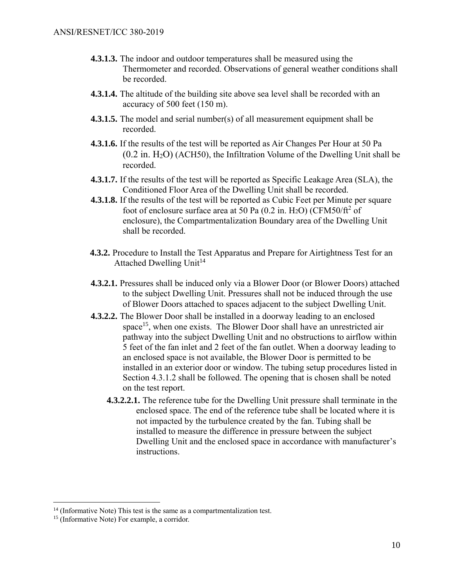- **4.3.1.3.** The indoor and outdoor temperatures shall be measured using the Thermometer and recorded. Observations of general weather conditions shall be recorded.
- **4.3.1.4.** The altitude of the building site above sea level shall be recorded with an accuracy of 500 feet (150 m).
- **4.3.1.5.** The model and serial number(s) of all measurement equipment shall be recorded.
- **4.3.1.6.** If the results of the test will be reported as Air Changes Per Hour at 50 Pa  $(0.2$  in.  $H<sub>2</sub>O)$  (ACH50), the Infiltration Volume of the Dwelling Unit shall be recorded.
- **4.3.1.7.** If the results of the test will be reported as Specific Leakage Area (SLA), the Conditioned Floor Area of the Dwelling Unit shall be recorded.
- **4.3.1.8.** If the results of the test will be reported as Cubic Feet per Minute per square foot of enclosure surface area at 50 Pa  $(0.2 \text{ in. H}_2\text{O})$  (CFM50/ft<sup>2</sup> of enclosure), the Compartmentalization Boundary area of the Dwelling Unit shall be recorded.
- **4.3.2.** Procedure to Install the Test Apparatus and Prepare for Airtightness Test for an Attached Dwelling Unit<sup>14</sup>
- **4.3.2.1.** Pressures shall be induced only via a Blower Door (or Blower Doors) attached to the subject Dwelling Unit. Pressures shall not be induced through the use of Blower Doors attached to spaces adjacent to the subject Dwelling Unit.
- **4.3.2.2.** The Blower Door shall be installed in a doorway leading to an enclosed space<sup>15</sup>, when one exists. The Blower Door shall have an unrestricted air pathway into the subject Dwelling Unit and no obstructions to airflow within 5 feet of the fan inlet and 2 feet of the fan outlet. When a doorway leading to an enclosed space is not available, the Blower Door is permitted to be installed in an exterior door or window. The tubing setup procedures listed in Section 4.3.1.2 shall be followed. The opening that is chosen shall be noted on the test report.
	- **4.3.2.2.1.** The reference tube for the Dwelling Unit pressure shall terminate in the enclosed space. The end of the reference tube shall be located where it is not impacted by the turbulence created by the fan. Tubing shall be installed to measure the difference in pressure between the subject Dwelling Unit and the enclosed space in accordance with manufacturer's instructions.

 $14$  (Informative Note) This test is the same as a compartmentalization test.

<sup>&</sup>lt;sup>15</sup> (Informative Note) For example, a corridor.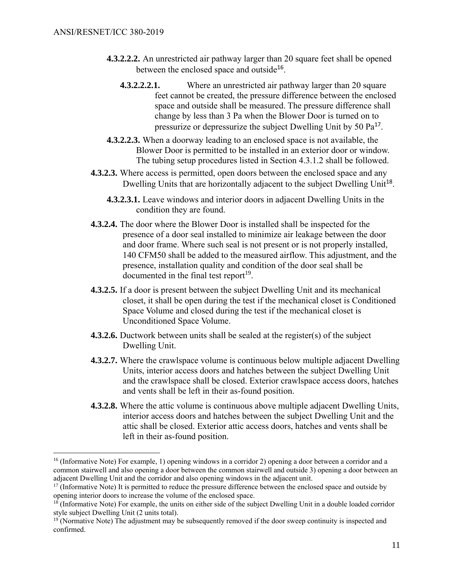- **4.3.2.2.2.** An unrestricted air pathway larger than 20 square feet shall be opened between the enclosed space and outside<sup>16</sup>.
	- **4.3.2.2.2.1.** Where an unrestricted air pathway larger than 20 square feet cannot be created, the pressure difference between the enclosed space and outside shall be measured. The pressure difference shall change by less than 3 Pa when the Blower Door is turned on to pressurize or depressurize the subject Dwelling Unit by 50  $Pa<sup>17</sup>$ .
- **4.3.2.2.3.** When a doorway leading to an enclosed space is not available, the Blower Door is permitted to be installed in an exterior door or window. The tubing setup procedures listed in Section 4.3.1.2 shall be followed.
- **4.3.2.3.** Where access is permitted, open doors between the enclosed space and any Dwelling Units that are horizontally adjacent to the subject Dwelling Unit<sup>18</sup>.
	- **4.3.2.3.1.** Leave windows and interior doors in adjacent Dwelling Units in the condition they are found.
- **4.3.2.4.** The door where the Blower Door is installed shall be inspected for the presence of a door seal installed to minimize air leakage between the door and door frame. Where such seal is not present or is not properly installed, 140 CFM50 shall be added to the measured airflow. This adjustment, and the presence, installation quality and condition of the door seal shall be documented in the final test report<sup>19</sup>.
- **4.3.2.5.** If a door is present between the subject Dwelling Unit and its mechanical closet, it shall be open during the test if the mechanical closet is Conditioned Space Volume and closed during the test if the mechanical closet is Unconditioned Space Volume.
- **4.3.2.6.** Ductwork between units shall be sealed at the register(s) of the subject Dwelling Unit.
- **4.3.2.7.** Where the crawlspace volume is continuous below multiple adjacent Dwelling Units, interior access doors and hatches between the subject Dwelling Unit and the crawlspace shall be closed. Exterior crawlspace access doors, hatches and vents shall be left in their as-found position.
- **4.3.2.8.** Where the attic volume is continuous above multiple adjacent Dwelling Units, interior access doors and hatches between the subject Dwelling Unit and the attic shall be closed. Exterior attic access doors, hatches and vents shall be left in their as-found position.

<sup>&</sup>lt;sup>16</sup> (Informative Note) For example, 1) opening windows in a corridor 2) opening a door between a corridor and a common stairwell and also opening a door between the common stairwell and outside 3) opening a door between an adjacent Dwelling Unit and the corridor and also opening windows in the adjacent unit.

<sup>&</sup>lt;sup>17</sup> (Informative Note) It is permitted to reduce the pressure difference between the enclosed space and outside by opening interior doors to increase the volume of the enclosed space.

<sup>&</sup>lt;sup>18</sup> (Informative Note) For example, the units on either side of the subject Dwelling Unit in a double loaded corridor style subject Dwelling Unit (2 units total).

<sup>&</sup>lt;sup>19</sup> (Normative Note) The adjustment may be subsequently removed if the door sweep continuity is inspected and confirmed.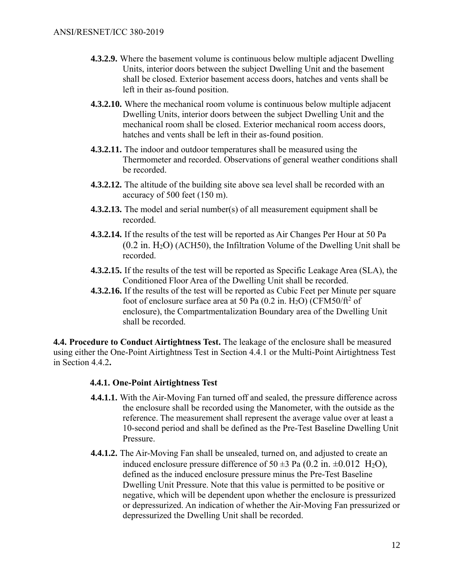- **4.3.2.9.** Where the basement volume is continuous below multiple adjacent Dwelling Units, interior doors between the subject Dwelling Unit and the basement shall be closed. Exterior basement access doors, hatches and vents shall be left in their as-found position.
- **4.3.2.10.** Where the mechanical room volume is continuous below multiple adjacent Dwelling Units, interior doors between the subject Dwelling Unit and the mechanical room shall be closed. Exterior mechanical room access doors, hatches and vents shall be left in their as-found position.
- **4.3.2.11.** The indoor and outdoor temperatures shall be measured using the Thermometer and recorded. Observations of general weather conditions shall be recorded.
- **4.3.2.12.** The altitude of the building site above sea level shall be recorded with an accuracy of 500 feet (150 m).
- **4.3.2.13.** The model and serial number(s) of all measurement equipment shall be recorded.
- **4.3.2.14.** If the results of the test will be reported as Air Changes Per Hour at 50 Pa  $(0.2 \text{ in. } H_2O)$  (ACH50), the Infiltration Volume of the Dwelling Unit shall be recorded.
- **4.3.2.15.** If the results of the test will be reported as Specific Leakage Area (SLA), the Conditioned Floor Area of the Dwelling Unit shall be recorded.
- **4.3.2.16.** If the results of the test will be reported as Cubic Feet per Minute per square foot of enclosure surface area at 50 Pa  $(0.2 \text{ in. H}_2\text{O})$  (CFM50/ft<sup>2</sup> of enclosure), the Compartmentalization Boundary area of the Dwelling Unit shall be recorded.

**4.4. Procedure to Conduct Airtightness Test.** The leakage of the enclosure shall be measured using either the One-Point Airtightness Test in Section 4.4.1 or the Multi-Point Airtightness Test in Section 4.4.2**.**

## **4.4.1. One-Point Airtightness Test**

- **4.4.1.1.** With the Air-Moving Fan turned off and sealed, the pressure difference across the enclosure shall be recorded using the Manometer, with the outside as the reference. The measurement shall represent the average value over at least a 10-second period and shall be defined as the Pre-Test Baseline Dwelling Unit Pressure.
- **4.4.1.2.** The Air-Moving Fan shall be unsealed, turned on, and adjusted to create an induced enclosure pressure difference of 50  $\pm$ 3 Pa (0.2 in.  $\pm$ 0.012 H<sub>2</sub>O), defined as the induced enclosure pressure minus the Pre-Test Baseline Dwelling Unit Pressure. Note that this value is permitted to be positive or negative, which will be dependent upon whether the enclosure is pressurized or depressurized. An indication of whether the Air-Moving Fan pressurized or depressurized the Dwelling Unit shall be recorded.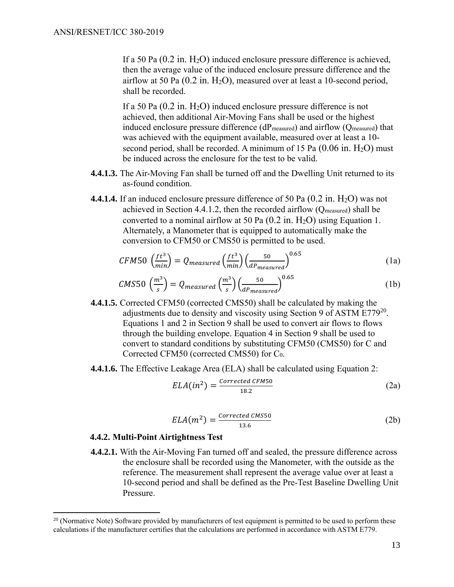If a 50 Pa  $(0.2 \text{ in. H}_2\text{O})$  induced enclosure pressure difference is achieved, then the average value of the induced enclosure pressure difference and the airflow at 50 Pa  $(0.2 \text{ in. H}_2\text{O})$ , measured over at least a 10-second period, shall be recorded.

If a 50 Pa  $(0.2 \text{ in. H}_2\text{O})$  induced enclosure pressure difference is not achieved, then additional Air-Moving Fans shall be used or the highest induced enclosure pressure difference (dPmeasured) and airflow (Qmeasured) that was achieved with the equipment available, measured over at least a 10 second period, shall be recorded. A minimum of 15 Pa  $(0.06 \text{ in. H<sub>2</sub>O})$  must be induced across the enclosure for the test to be valid.

- **4.4.1.3.** The Air-Moving Fan shall be turned off and the Dwelling Unit returned to its as-found condition.
- **4.4.1.4.** If an induced enclosure pressure difference of 50 Pa  $(0.2 \text{ in. } H_2O)$  was not achieved in Section 4.4.1.2, then the recorded airflow (Qmeasured) shall be converted to a nominal airflow at 50 Pa  $(0.2 \text{ in. H}_2\text{O})$  using Equation 1. Alternately, a Manometer that is equipped to automatically make the conversion to CFM50 or CMS50 is permitted to be used.

$$
CFM50\ \left(\frac{ft^3}{min}\right) = Q_{measured}\left(\frac{ft^3}{min}\right)\left(\frac{50}{dP_{measured}}\right)^{0.65}
$$
\n(1a)

$$
CMS50\,\left(\frac{m^3}{s}\right) = Q_{measured}\left(\frac{m^3}{s}\right)\left(\frac{50}{dP_{measured}}\right)^{0.65}
$$
\n(1b)

- **4.4.1.5.** Corrected CFM50 (corrected CMS50) shall be calculated by making the adjustments due to density and viscosity using Section 9 of ASTM  $E779^{20}$ . Equations 1 and 2 in Section 9 shall be used to convert air flows to flows through the building envelope. Equation 4 in Section 9 shall be used to convert to standard conditions by substituting CFM50 (CMS50) for C and Corrected CFM50 (corrected CMS50) for C0.
- **4.4.1.6.** The Effective Leakage Area (ELA) shall be calculated using Equation 2:

$$
ELA(in^2) = \frac{\text{Corrected CFM50}}{18.2} \tag{2a}
$$

$$
ELA(m^2) = \frac{\text{Corrected CMS50}}{13.6} \tag{2b}
$$

#### **4.4.2. Multi-Point Airtightness Test**

 $\overline{a}$ 

**4.4.2.1.** With the Air-Moving Fan turned off and sealed, the pressure difference across the enclosure shall be recorded using the Manometer, with the outside as the reference. The measurement shall represent the average value over at least a 10-second period and shall be defined as the Pre-Test Baseline Dwelling Unit Pressure.

 $20$  (Normative Note) Software provided by manufacturers of test equipment is permitted to be used to perform these calculations if the manufacturer certifies that the calculations are performed in accordance with ASTM E779.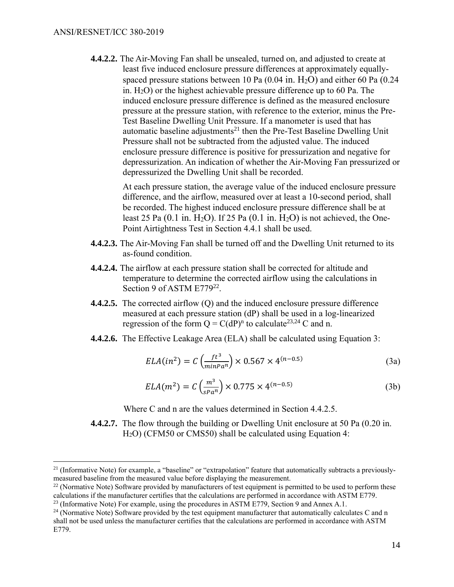$\overline{a}$ 

**4.4.2.2.** The Air-Moving Fan shall be unsealed, turned on, and adjusted to create at least five induced enclosure pressure differences at approximately equallyspaced pressure stations between 10 Pa  $(0.04 \text{ in. H}_2\text{O})$  and either 60 Pa  $(0.24 \text{ in. H}_2\text{O})$ in. H2O) or the highest achievable pressure difference up to 60 Pa. The induced enclosure pressure difference is defined as the measured enclosure pressure at the pressure station, with reference to the exterior, minus the Pre-Test Baseline Dwelling Unit Pressure. If a manometer is used that has automatic baseline adjustments<sup>21</sup> then the Pre-Test Baseline Dwelling Unit Pressure shall not be subtracted from the adjusted value. The induced enclosure pressure difference is positive for pressurization and negative for depressurization. An indication of whether the Air-Moving Fan pressurized or depressurized the Dwelling Unit shall be recorded.

> At each pressure station, the average value of the induced enclosure pressure difference, and the airflow, measured over at least a 10-second period, shall be recorded. The highest induced enclosure pressure difference shall be at least 25 Pa  $(0.1 \text{ in. H}_2\text{O})$ . If 25 Pa  $(0.1 \text{ in. H}_2\text{O})$  is not achieved, the One-Point Airtightness Test in Section 4.4.1 shall be used.

- **4.4.2.3.** The Air-Moving Fan shall be turned off and the Dwelling Unit returned to its as-found condition.
- **4.4.2.4.** The airflow at each pressure station shall be corrected for altitude and temperature to determine the corrected airflow using the calculations in Section 9 of ASTM E779<sup>22</sup>.
- **4.4.2.5.** The corrected airflow (Q) and the induced enclosure pressure difference measured at each pressure station (dP) shall be used in a log-linearized regression of the form  $Q = C(dP)^n$  to calculate<sup>23,24</sup> C and n.
- **4.4.2.6.** The Effective Leakage Area (ELA) shall be calculated using Equation 3:

$$
ELA(in2) = C\left(\frac{ft^{3}}{\min Pa^{n}}\right) \times 0.567 \times 4^{(n-0.5)}
$$
\n(3a)

$$
ELA(m^{2}) = C\left(\frac{m^{3}}{s_{P}a^{n}}\right) \times 0.775 \times 4^{(n-0.5)}
$$
\n(3b)

Where C and n are the values determined in Section 4.4.2.5.

**4.4.2.7.** The flow through the building or Dwelling Unit enclosure at 50 Pa (0.20 in. H2O) (CFM50 or CMS50) shall be calculated using Equation 4:

 $21$  (Informative Note) for example, a "baseline" or "extrapolation" feature that automatically subtracts a previouslymeasured baseline from the measured value before displaying the measurement.

 $22$  (Normative Note) Software provided by manufacturers of test equipment is permitted to be used to perform these calculations if the manufacturer certifies that the calculations are performed in accordance with ASTM E779.

 $23$  (Informative Note) For example, using the procedures in ASTM E779, Section 9 and Annex A.1.

<sup>&</sup>lt;sup>24</sup> (Normative Note) Software provided by the test equipment manufacturer that automatically calculates C and n shall not be used unless the manufacturer certifies that the calculations are performed in accordance with ASTM E779.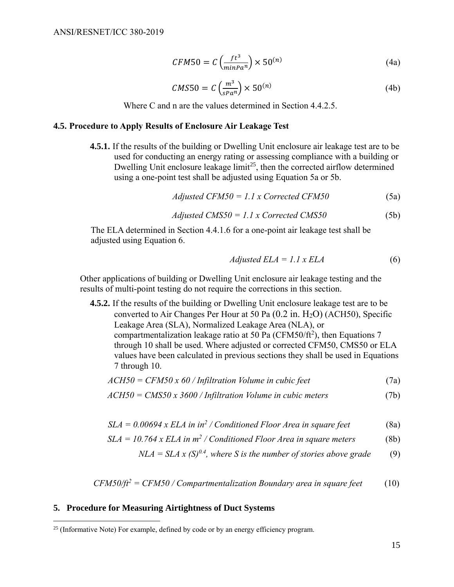$$
CFM50 = C\left(\frac{ft^3}{minPa^n}\right) \times 50^{(n)}\tag{4a}
$$

$$
CMS50 = C \left(\frac{m^3}{sPa^n}\right) \times 50^{(n)} \tag{4b}
$$

Where C and n are the values determined in Section 4.4.2.5.

## **4.5. Procedure to Apply Results of Enclosure Air Leakage Test**

**4.5.1.** If the results of the building or Dwelling Unit enclosure air leakage test are to be used for conducting an energy rating or assessing compliance with a building or Dwelling Unit enclosure leakage  $\lim_{t \to 5} t^{25}$ , then the corrected airflow determined using a one-point test shall be adjusted using Equation 5a or 5b.

$$
Adjusted CFM50 = 1.1 x Corrected CFM50
$$
 (5a)

$$
Adjusted\ CMS50 = 1.1 \times Corrected\ CMS50\tag{5b}
$$

The ELA determined in Section 4.4.1.6 for a one-point air leakage test shall be adjusted using Equation 6.

$$
Adjusted ELA = 1.1 x ELA \tag{6}
$$

Other applications of building or Dwelling Unit enclosure air leakage testing and the results of multi-point testing do not require the corrections in this section.

**4.5.2.** If the results of the building or Dwelling Unit enclosure leakage test are to be converted to Air Changes Per Hour at 50 Pa  $(0.2 \text{ in. H}_2\text{O})$  (ACH50), Specific Leakage Area (SLA), Normalized Leakage Area (NLA), or compartmentalization leakage ratio at 50 Pa (CFM50/ft<sup>2</sup>), then Equations 7 through 10 shall be used. Where adjusted or corrected CFM50, CMS50 or ELA values have been calculated in previous sections they shall be used in Equations 7 through 10.

$$
ACH50 = CFM50 \times 60 / In filtration Volume in cubic feet
$$
 (7a)

$$
ACH50 = CMS50 \times 3600 / In filtration Volume in cubic meters
$$
 (7b)

$$
SLA = 0.00694 \times ELA \text{ in in}^2 / Conditional Floor Area \text{ in square feet}
$$
 (8a)

$$
SLA = 10.764 \times ELA \text{ in } m^2 / \text{Conditional Floor Area in square meters}
$$
 (8b)

$$
NLA = SLA x (S)^{0.4}
$$
, where S is the number of stories above grade (9)

$$
CFM50/ft2 = CFM50 / Compartmentalization Boundary area in square feet
$$
 (10)

#### **5. Procedure for Measuring Airtightness of Duct Systems**

 $25$  (Informative Note) For example, defined by code or by an energy efficiency program.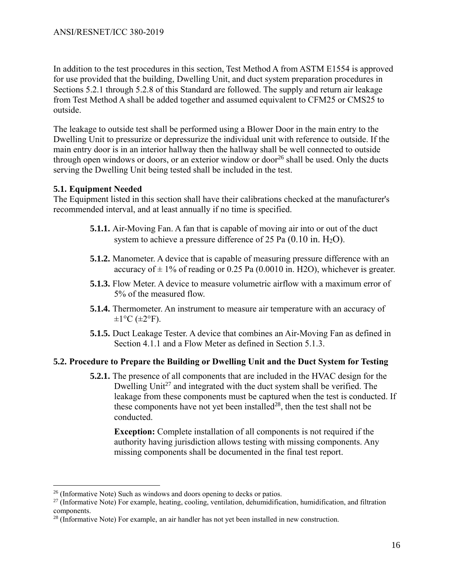In addition to the test procedures in this section, Test Method A from ASTM E1554 is approved for use provided that the building, Dwelling Unit, and duct system preparation procedures in Sections 5.2.1 through 5.2.8 of this Standard are followed. The supply and return air leakage from Test Method A shall be added together and assumed equivalent to CFM25 or CMS25 to outside.

The leakage to outside test shall be performed using a Blower Door in the main entry to the Dwelling Unit to pressurize or depressurize the individual unit with reference to outside. If the main entry door is in an interior hallway then the hallway shall be well connected to outside through open windows or doors, or an exterior window or door<sup>26</sup> shall be used. Only the ducts serving the Dwelling Unit being tested shall be included in the test.

## **5.1. Equipment Needed**

 $\overline{a}$ 

<span id="page-19-0"></span>The Equipment listed in this section shall have their calibrations checked at the manufacturer's recommended interval, and at least annually if no time is specified.

- **5.1.1.** Air-Moving Fan. A fan that is capable of moving air into or out of the duct system to achieve a pressure difference of 25 Pa  $(0.10 \text{ in. H}_2\text{O})$ .
- **5.1.2.** Manometer. A device that is capable of measuring pressure difference with an accuracy of  $\pm$  1% of reading or 0.25 Pa (0.0010 in. H2O), whichever is greater.
- <span id="page-19-1"></span>**5.1.3.** Flow Meter. A device to measure volumetric airflow with a maximum error of 5% of the measured flow.
- **5.1.4.** Thermometer. An instrument to measure air temperature with an accuracy of  $\pm 1$ °C ( $\pm 2$ °F).
- **5.1.5.** Duct Leakage Tester. A device that combines an Air-Moving Fan as defined in [Section 4.1.1](#page-19-0) and a Flow Meter as defined in [Section 5.1.3.](#page-19-1)

## **5.2. Procedure to Prepare the Building or Dwelling Unit and the Duct System for Testing**

**5.2.1.** The presence of all components that are included in the HVAC design for the Dwelling Unit<sup>27</sup> and integrated with the duct system shall be verified. The leakage from these components must be captured when the test is conducted. If these components have not yet been installed<sup>28</sup>, then the test shall not be conducted.

**Exception:** Complete installation of all components is not required if the authority having jurisdiction allows testing with missing components. Any missing components shall be documented in the final test report.

 $26$  (Informative Note) Such as windows and doors opening to decks or patios.

<sup>&</sup>lt;sup>27</sup> (Informative Note) For example, heating, cooling, ventilation, dehumidification, humidification, and filtration components.

 $28$  (Informative Note) For example, an air handler has not yet been installed in new construction.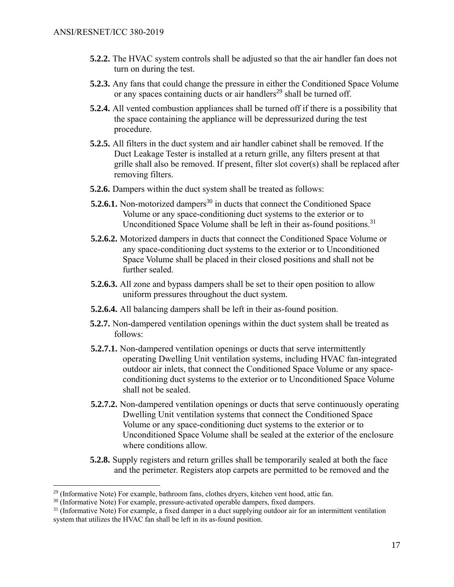- **5.2.2.** The HVAC system controls shall be adjusted so that the air handler fan does not turn on during the test.
- **5.2.3.** Any fans that could change the pressure in either the Conditioned Space Volume or any spaces containing ducts or air handlers<sup>29</sup> shall be turned off.
- **5.2.4.** All vented combustion appliances shall be turned off if there is a possibility that the space containing the appliance will be depressurized during the test procedure.
- **5.2.5.** All filters in the duct system and air handler cabinet shall be removed. If the Duct Leakage Tester is installed at a return grille, any filters present at that grille shall also be removed. If present, filter slot cover(s) shall be replaced after removing filters.
- **5.2.6.** Dampers within the duct system shall be treated as follows:
- **5.2.6.1.** Non-motorized dampers<sup>30</sup> in ducts that connect the Conditioned Space Volume or any space-conditioning duct systems to the exterior or to Unconditioned Space Volume shall be left in their as-found positions.<sup>31</sup>
- **5.2.6.2.** Motorized dampers in ducts that connect the Conditioned Space Volume or any space-conditioning duct systems to the exterior or to Unconditioned Space Volume shall be placed in their closed positions and shall not be further sealed.
- **5.2.6.3.** All zone and bypass dampers shall be set to their open position to allow uniform pressures throughout the duct system.
- **5.2.6.4.** All balancing dampers shall be left in their as-found position.
- **5.2.7.** Non-dampered ventilation openings within the duct system shall be treated as follows:
- **5.2.7.1.** Non-dampered ventilation openings or ducts that serve intermittently operating Dwelling Unit ventilation systems, including HVAC fan-integrated outdoor air inlets, that connect the Conditioned Space Volume or any spaceconditioning duct systems to the exterior or to Unconditioned Space Volume shall not be sealed.
- **5.2.7.2.** Non-dampered ventilation openings or ducts that serve continuously operating Dwelling Unit ventilation systems that connect the Conditioned Space Volume or any space-conditioning duct systems to the exterior or to Unconditioned Space Volume shall be sealed at the exterior of the enclosure where conditions allow.
- **5.2.8.** Supply registers and return grilles shall be temporarily sealed at both the face and the perimeter. Registers atop carpets are permitted to be removed and the

<sup>&</sup>lt;sup>29</sup> (Informative Note) For example, bathroom fans, clothes dryers, kitchen vent hood, attic fan.

<sup>&</sup>lt;sup>30</sup> (Informative Note) For example, pressure-activated operable dampers, fixed dampers.

 $31$  (Informative Note) For example, a fixed damper in a duct supplying outdoor air for an intermittent ventilation system that utilizes the HVAC fan shall be left in its as-found position.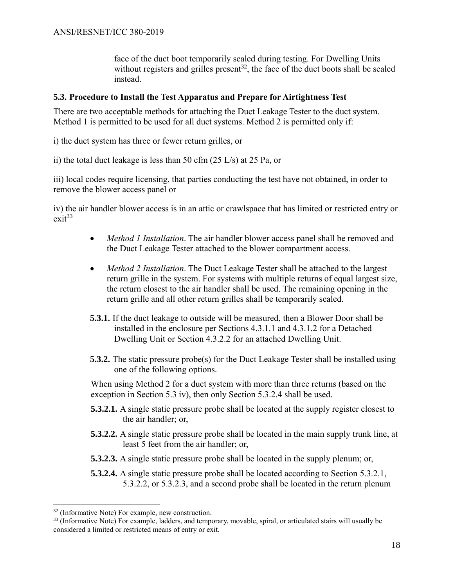face of the duct boot temporarily sealed during testing. For Dwelling Units without registers and grilles present<sup>32</sup>, the face of the duct boots shall be sealed instead.

## **5.3. Procedure to Install the Test Apparatus and Prepare for Airtightness Test**

There are two acceptable methods for attaching the Duct Leakage Tester to the duct system. Method 1 is permitted to be used for all duct systems. Method 2 is permitted only if:

i) the duct system has three or fewer return grilles, or

ii) the total duct leakage is less than 50 cfm (25 L/s) at 25 Pa, or

iii) local codes require licensing, that parties conducting the test have not obtained, in order to remove the blower access panel or

iv) the air handler blower access is in an attic or crawlspace that has limited or restricted entry or  $exit^{33}$ 

- *Method 1 Installation*. The air handler blower access panel shall be removed and the Duct Leakage Tester attached to the blower compartment access.
- *Method 2 Installation*. The Duct Leakage Tester shall be attached to the largest return grille in the system. For systems with multiple returns of equal largest size, the return closest to the air handler shall be used. The remaining opening in the return grille and all other return grilles shall be temporarily sealed.
- **5.3.1.** If the duct leakage to outside will be measured, then a Blower Door shall be installed in the enclosure per Sections 4.3.1.1 and 4.3.1.2 for a Detached Dwelling Unit or Section 4.3.2.2 for an attached Dwelling Unit.
- **5.3.2.** The static pressure probe(s) for the Duct Leakage Tester shall be installed using one of the following options.

When using Method 2 for a duct system with more than three returns (based on the exception in Section 5.3 iv), then only Section 5.3.2.4 shall be used.

- **5.3.2.1.** A single static pressure probe shall be located at the supply register closest to the air handler; or,
- **5.3.2.2.** A single static pressure probe shall be located in the main supply trunk line, at least 5 feet from the air handler; or,
- **5.3.2.3.** A single static pressure probe shall be located in the supply plenum; or,
- **5.3.2.4.** A single static pressure probe shall be located according to Section 5.3.2.1, 5.3.2.2, or 5.3.2.3, and a second probe shall be located in the return plenum

<sup>32</sup> (Informative Note) For example, new construction.

<sup>&</sup>lt;sup>33</sup> (Informative Note) For example, ladders, and temporary, movable, spiral, or articulated stairs will usually be considered a limited or restricted means of entry or exit.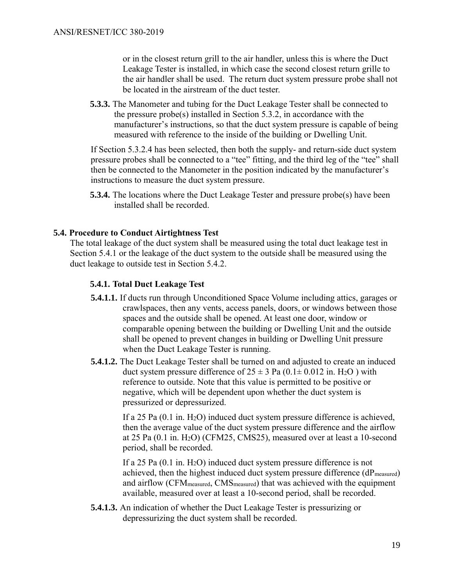or in the closest return grill to the air handler, unless this is where the Duct Leakage Tester is installed, in which case the second closest return grille to the air handler shall be used. The return duct system pressure probe shall not be located in the airstream of the duct tester.

**5.3.3.** The Manometer and tubing for the Duct Leakage Tester shall be connected to the pressure probe(s) installed in Section 5.3.2, in accordance with the manufacturer's instructions, so that the duct system pressure is capable of being measured with reference to the inside of the building or Dwelling Unit.

If Section 5.3.2.4 has been selected, then both the supply- and return-side duct system pressure probes shall be connected to a "tee" fitting, and the third leg of the "tee" shall then be connected to the Manometer in the position indicated by the manufacturer's instructions to measure the duct system pressure.

**5.3.4.** The locations where the Duct Leakage Tester and pressure probe(s) have been installed shall be recorded.

## **5.4. Procedure to Conduct Airtightness Test**

The total leakage of the duct system shall be measured using the total duct leakage test in [Section 5.4.1](#page-22-0) or the leakage of the duct system to the outside shall be measured using the duct leakage to outside test in [Section 5.4.2.](#page-23-0)

## <span id="page-22-0"></span>**5.4.1. Total Duct Leakage Test**

- **5.4.1.1.** If ducts run through Unconditioned Space Volume including attics, garages or crawlspaces, then any vents, access panels, doors, or windows between those spaces and the outside shall be opened. At least one door, window or comparable opening between the building or Dwelling Unit and the outside shall be opened to prevent changes in building or Dwelling Unit pressure when the Duct Leakage Tester is running.
- **5.4.1.2.** The Duct Leakage Tester shall be turned on and adjusted to create an induced duct system pressure difference of  $25 \pm 3$  Pa (0.1 $\pm$  0.012 in. H<sub>2</sub>O) with reference to outside. Note that this value is permitted to be positive or negative, which will be dependent upon whether the duct system is pressurized or depressurized.

If a 25 Pa (0.1 in. H2O) induced duct system pressure difference is achieved, then the average value of the duct system pressure difference and the airflow at 25 Pa (0.1 in. H2O) (CFM25, CMS25), measured over at least a 10-second period, shall be recorded.

If a 25 Pa (0.1 in. H<sub>2</sub>O) induced duct system pressure difference is not achieved, then the highest induced duct system pressure difference (dPmeasured) and airflow (CFMmeasured, CMSmeasured) that was achieved with the equipment available, measured over at least a 10-second period, shall be recorded.

**5.4.1.3.** An indication of whether the Duct Leakage Tester is pressurizing or depressurizing the duct system shall be recorded.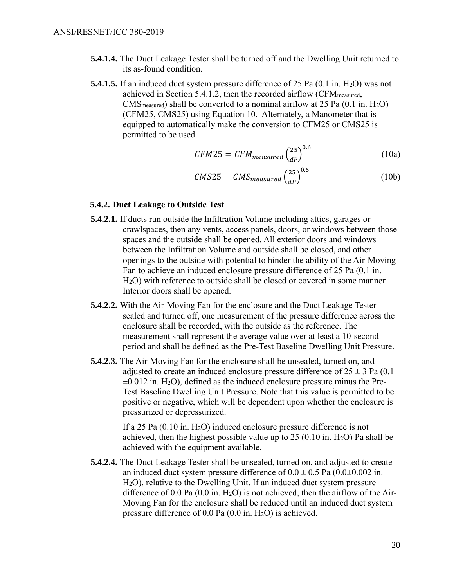- **5.4.1.4.** The Duct Leakage Tester shall be turned off and the Dwelling Unit returned to its as-found condition.
- **5.4.1.5.** If an induced duct system pressure difference of 25 Pa (0.1 in. H<sub>2</sub>O) was not achieved in Section 5.4.1.2, then the recorded airflow (CFMmeasured,  $CMS_{measured}$ ) shall be converted to a nominal airflow at 25 Pa  $(0.1 \text{ in. H}_2O)$ (CFM25, CMS25) using Equation 10. Alternately, a Manometer that is equipped to automatically make the conversion to CFM25 or CMS25 is permitted to be used.

$$
CFM25 = CFM_{measured} \left(\frac{25}{dP}\right)^{0.6} \tag{10a}
$$

$$
CMS25 = CMS_{measured} \left(\frac{25}{dP}\right)^{0.6} \tag{10b}
$$

#### <span id="page-23-0"></span>**5.4.2. Duct Leakage to Outside Test**

- **5.4.2.1.** If ducts run outside the Infiltration Volume including attics, garages or crawlspaces, then any vents, access panels, doors, or windows between those spaces and the outside shall be opened. All exterior doors and windows between the Infiltration Volume and outside shall be closed, and other openings to the outside with potential to hinder the ability of the Air-Moving Fan to achieve an induced enclosure pressure difference of 25 Pa (0.1 in. H2O) with reference to outside shall be closed or covered in some manner. Interior doors shall be opened.
- **5.4.2.2.** With the Air-Moving Fan for the enclosure and the Duct Leakage Tester sealed and turned off, one measurement of the pressure difference across the enclosure shall be recorded, with the outside as the reference. The measurement shall represent the average value over at least a 10-second period and shall be defined as the Pre-Test Baseline Dwelling Unit Pressure.
- **5.4.2.3.** The Air-Moving Fan for the enclosure shall be unsealed, turned on, and adjusted to create an induced enclosure pressure difference of  $25 \pm 3$  Pa (0.1)  $\pm 0.012$  in. H<sub>2</sub>O), defined as the induced enclosure pressure minus the Pre-Test Baseline Dwelling Unit Pressure. Note that this value is permitted to be positive or negative, which will be dependent upon whether the enclosure is pressurized or depressurized.

If a 25 Pa  $(0.10 \text{ in. H}_2O)$  induced enclosure pressure difference is not achieved, then the highest possible value up to  $25 (0.10 \text{ in. H}_2\text{O})$  Pa shall be achieved with the equipment available.

**5.4.2.4.** The Duct Leakage Tester shall be unsealed, turned on, and adjusted to create an induced duct system pressure difference of  $0.0 \pm 0.5$  Pa  $(0.0 \pm 0.002$  in. H2O), relative to the Dwelling Unit. If an induced duct system pressure difference of 0.0 Pa  $(0.0 \text{ in. H}_2\text{O})$  is not achieved, then the airflow of the Air-Moving Fan for the enclosure shall be reduced until an induced duct system pressure difference of  $0.0$  Pa  $(0.0$  in. H<sub>2</sub>O) is achieved.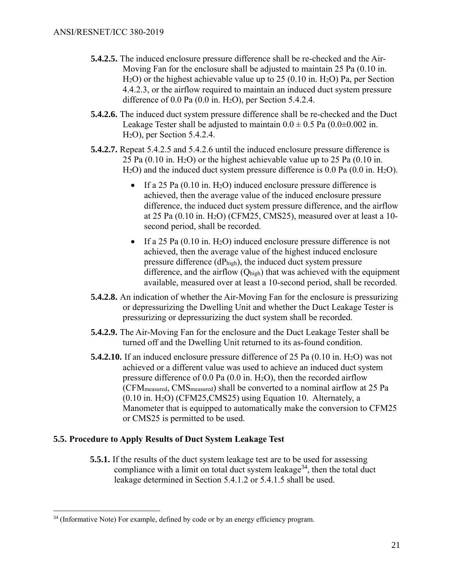- **5.4.2.5.** The induced enclosure pressure difference shall be re-checked and the Air-Moving Fan for the enclosure shall be adjusted to maintain 25 Pa (0.10 in.  $H_2O$ ) or the highest achievable value up to 25 (0.10 in.  $H_2O$ ) Pa, per Section 4.4.2.3, or the airflow required to maintain an induced duct system pressure difference of  $0.0$  Pa  $(0.0$  in. H<sub>2</sub>O), per Section 5.4.2.4.
- **5.4.2.6.** The induced duct system pressure difference shall be re-checked and the Duct Leakage Tester shall be adjusted to maintain  $0.0 \pm 0.5$  Pa  $(0.0 \pm 0.002$  in. H2O), per Section 5.4.2.4.
- **5.4.2.7.** Repeat 5.4.2.5 and 5.4.2.6 until the induced enclosure pressure difference is 25 Pa  $(0.10 \text{ in. H}_2\text{O})$  or the highest achievable value up to 25 Pa  $(0.10 \text{ in.})$ H<sub>2</sub>O) and the induced duct system pressure difference is 0.0 Pa (0.0 in. H<sub>2</sub>O).
	- If a 25 Pa  $(0.10 \text{ in. H}_2\text{O})$  induced enclosure pressure difference is achieved, then the average value of the induced enclosure pressure difference, the induced duct system pressure difference, and the airflow at 25 Pa (0.10 in. H2O) (CFM25, CMS25), measured over at least a 10 second period, shall be recorded.
	- If a 25 Pa  $(0.10 \text{ in. H}_2\text{O})$  induced enclosure pressure difference is not achieved, then the average value of the highest induced enclosure pressure difference (dPhigh), the induced duct system pressure difference, and the airflow (Qhigh) that was achieved with the equipment available, measured over at least a 10-second period, shall be recorded.
- **5.4.2.8.** An indication of whether the Air-Moving Fan for the enclosure is pressurizing or depressurizing the Dwelling Unit and whether the Duct Leakage Tester is pressurizing or depressurizing the duct system shall be recorded.
- **5.4.2.9.** The Air-Moving Fan for the enclosure and the Duct Leakage Tester shall be turned off and the Dwelling Unit returned to its as-found condition.
- **5.4.2.10.** If an induced enclosure pressure difference of 25 Pa (0.10 in. H<sub>2</sub>O) was not achieved or a different value was used to achieve an induced duct system pressure difference of 0.0 Pa (0.0 in. H2O), then the recorded airflow (CFMmeasured, CMSmeasured) shall be converted to a nominal airflow at 25 Pa (0.10 in. H2O) (CFM25,CMS25) using Equation 10. Alternately, a Manometer that is equipped to automatically make the conversion to CFM25 or CMS25 is permitted to be used.

## **5.5. Procedure to Apply Results of Duct System Leakage Test**

 $\overline{a}$ 

**5.5.1.** If the results of the duct system leakage test are to be used for assessing compliance with a limit on total duct system leakage<sup>34</sup>, then the total duct leakage determined in Section 5.4.1.2 or 5.4.1.5 shall be used.

 $34$  (Informative Note) For example, defined by code or by an energy efficiency program.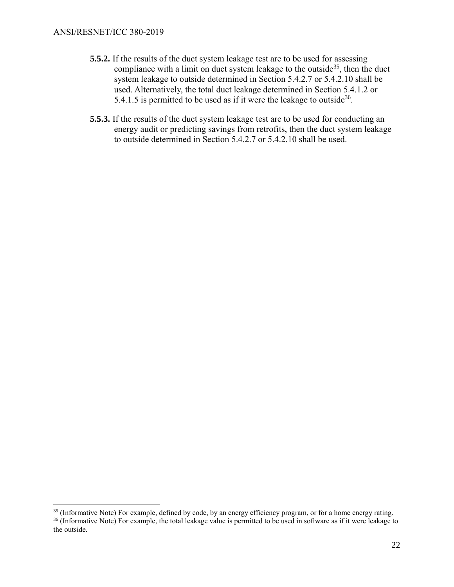- **5.5.2.** If the results of the duct system leakage test are to be used for assessing compliance with a limit on duct system leakage to the outside<sup>35</sup>, then the duct system leakage to outside determined in Section 5.4.2.7 or 5.4.2.10 shall be used. Alternatively, the total duct leakage determined in Section 5.4.1.2 or 5.4.1.5 is permitted to be used as if it were the leakage to outside<sup>36</sup>.
- **5.5.3.** If the results of the duct system leakage test are to be used for conducting an energy audit or predicting savings from retrofits, then the duct system leakage to outside determined in Section 5.4.2.7 or 5.4.2.10 shall be used.

<sup>&</sup>lt;sup>35</sup> (Informative Note) For example, defined by code, by an energy efficiency program, or for a home energy rating.

 $36$  (Informative Note) For example, the total leakage value is permitted to be used in software as if it were leakage to the outside.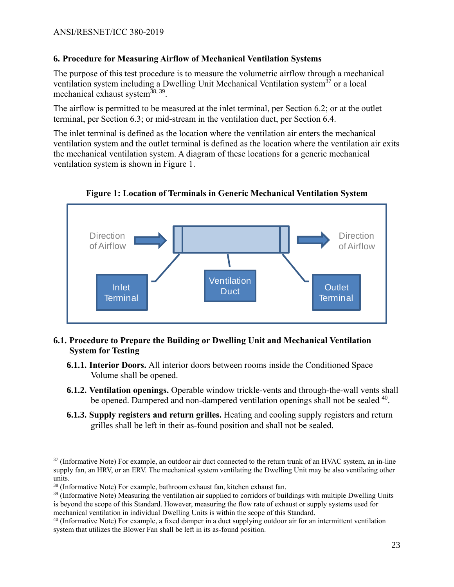## **6. Procedure for Measuring Airflow of Mechanical Ventilation Systems**

The purpose of this test procedure is to measure the volumetric airflow through a mechanical ventilation system including a Dwelling Unit Mechanical Ventilation system $37$  or a local mechanical exhaust system<sup>38, 39</sup>.

The airflow is permitted to be measured at the inlet terminal, per Section 6.2; or at the outlet terminal, per Section 6.3; or mid-stream in the ventilation duct, per Section 6.4.

The inlet terminal is defined as the location where the ventilation air enters the mechanical ventilation system and the outlet terminal is defined as the location where the ventilation air exits the mechanical ventilation system. A diagram of these locations for a generic mechanical ventilation system is shown in Figure 1.



**Figure 1: Location of Terminals in Generic Mechanical Ventilation System**

## **6.1. Procedure to Prepare the Building or Dwelling Unit and Mechanical Ventilation System for Testing**

- **6.1.1. Interior Doors.** All interior doors between rooms inside the Conditioned Space Volume shall be opened.
- **6.1.2. Ventilation openings.** Operable window trickle-vents and through-the-wall vents shall be opened. Dampered and non-dampered ventilation openings shall not be sealed <sup>40</sup>.
- **6.1.3. Supply registers and return grilles.** Heating and cooling supply registers and return grilles shall be left in their as-found position and shall not be sealed.

 $37$  (Informative Note) For example, an outdoor air duct connected to the return trunk of an HVAC system, an in-line supply fan, an HRV, or an ERV. The mechanical system ventilating the Dwelling Unit may be also ventilating other units.

<sup>38</sup> (Informative Note) For example, bathroom exhaust fan, kitchen exhaust fan.

 $39$  (Informative Note) Measuring the ventilation air supplied to corridors of buildings with multiple Dwelling Units is beyond the scope of this Standard. However, measuring the flow rate of exhaust or supply systems used for mechanical ventilation in individual Dwelling Units is within the scope of this Standard.

 $40$  (Informative Note) For example, a fixed damper in a duct supplying outdoor air for an intermittent ventilation system that utilizes the Blower Fan shall be left in its as-found position.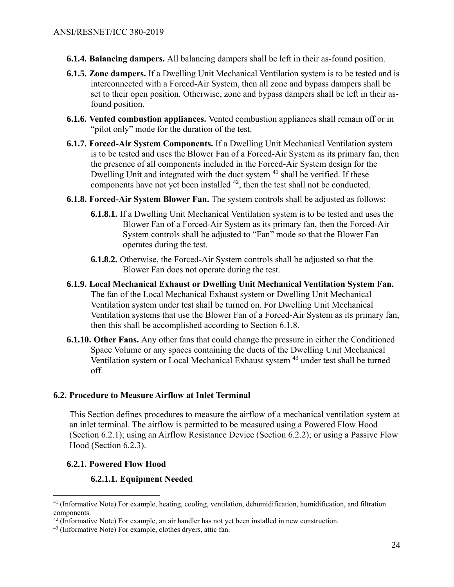- **6.1.4. Balancing dampers.** All balancing dampers shall be left in their as-found position.
- **6.1.5. Zone dampers.** If a Dwelling Unit Mechanical Ventilation system is to be tested and is interconnected with a Forced-Air System, then all zone and bypass dampers shall be set to their open position. Otherwise, zone and bypass dampers shall be left in their asfound position.
- **6.1.6. Vented combustion appliances.** Vented combustion appliances shall remain off or in "pilot only" mode for the duration of the test.
- **6.1.7. Forced-Air System Components.** If a Dwelling Unit Mechanical Ventilation system is to be tested and uses the Blower Fan of a Forced-Air System as its primary fan, then the presence of all components included in the Forced-Air System design for the Dwelling Unit and integrated with the duct system <sup>41</sup> shall be verified. If these components have not yet been installed <sup>42</sup>, then the test shall not be conducted.
- <span id="page-27-0"></span>**6.1.8. Forced-Air System Blower Fan.** The system controls shall be adjusted as follows:
	- **6.1.8.1.** If a Dwelling Unit Mechanical Ventilation system is to be tested and uses the Blower Fan of a Forced-Air System as its primary fan, then the Forced-Air System controls shall be adjusted to "Fan" mode so that the Blower Fan operates during the test.
	- **6.1.8.2.** Otherwise, the Forced-Air System controls shall be adjusted so that the Blower Fan does not operate during the test.
- **6.1.9. Local Mechanical Exhaust or Dwelling Unit Mechanical Ventilation System Fan.**  The fan of the Local Mechanical Exhaust system or Dwelling Unit Mechanical Ventilation system under test shall be turned on. For Dwelling Unit Mechanical Ventilation systems that use the Blower Fan of a Forced-Air System as its primary fan, then this shall be accomplished according to Section [6.1.8.](#page-27-0)
- **6.1.10. Other Fans.** Any other fans that could change the pressure in either the Conditioned Space Volume or any spaces containing the ducts of the Dwelling Unit Mechanical Ventilation system or Local Mechanical Exhaust system <sup>43</sup> under test shall be turned off.

## **6.2. Procedure to Measure Airflow at Inlet Terminal**

This Section defines procedures to measure the airflow of a mechanical ventilation system at an inlet terminal. The airflow is permitted to be measured using a Powered Flow Hood (Section 6.2.1); using an Airflow Resistance Device (Section 6.2.2); or using a Passive Flow Hood (Section 6.2.3).

## **6.2.1. Powered Flow Hood**

 $\overline{a}$ 

## **6.2.1.1. Equipment Needed**

<sup>41</sup> (Informative Note) For example, heating, cooling, ventilation, dehumidification, humidification, and filtration components.

 $42$  (Informative Note) For example, an air handler has not yet been installed in new construction.

<sup>&</sup>lt;sup>43</sup> (Informative Note) For example, clothes dryers, attic fan.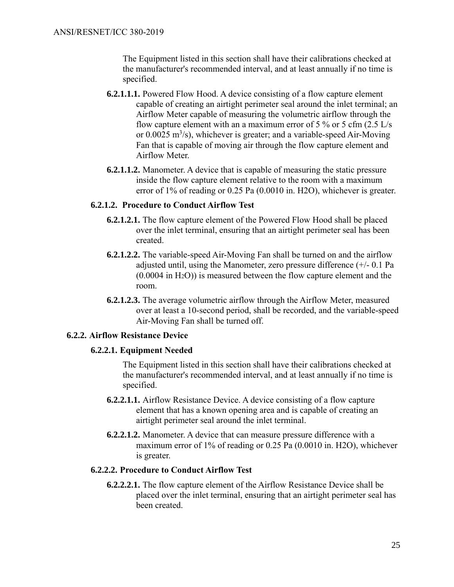The Equipment listed in this section shall have their calibrations checked at the manufacturer's recommended interval, and at least annually if no time is specified.

- **6.2.1.1.1.** Powered Flow Hood. A device consisting of a flow capture element capable of creating an airtight perimeter seal around the inlet terminal; an Airflow Meter capable of measuring the volumetric airflow through the flow capture element with an a maximum error of  $5\%$  or  $5 \text{ cfm}$  (2.5 L/s) or  $0.0025 \text{ m}^3/\text{s}$ , whichever is greater; and a variable-speed Air-Moving Fan that is capable of moving air through the flow capture element and Airflow Meter.
- **6.2.1.1.2.** Manometer. A device that is capable of measuring the static pressure inside the flow capture element relative to the room with a maximum error of 1% of reading or 0.25 Pa (0.0010 in. H2O), whichever is greater.

## **6.2.1.2. Procedure to Conduct Airflow Test**

- **6.2.1.2.1.** The flow capture element of the Powered Flow Hood shall be placed over the inlet terminal, ensuring that an airtight perimeter seal has been created.
- **6.2.1.2.2.** The variable-speed Air-Moving Fan shall be turned on and the airflow adjusted until, using the Manometer, zero pressure difference (+/- 0.1 Pa  $(0.0004$  in  $H<sub>2</sub>O)$ ) is measured between the flow capture element and the room.
- **6.2.1.2.3.** The average volumetric airflow through the Airflow Meter, measured over at least a 10-second period, shall be recorded, and the variable-speed Air-Moving Fan shall be turned off.

## **6.2.2. Airflow Resistance Device**

#### **6.2.2.1. Equipment Needed**

The Equipment listed in this section shall have their calibrations checked at the manufacturer's recommended interval, and at least annually if no time is specified.

- **6.2.2.1.1.** Airflow Resistance Device. A device consisting of a flow capture element that has a known opening area and is capable of creating an airtight perimeter seal around the inlet terminal.
- **6.2.2.1.2.** Manometer. A device that can measure pressure difference with a maximum error of 1% of reading or 0.25 Pa (0.0010 in. H2O), whichever is greater.

## **6.2.2.2. Procedure to Conduct Airflow Test**

**6.2.2.2.1.** The flow capture element of the Airflow Resistance Device shall be placed over the inlet terminal, ensuring that an airtight perimeter seal has been created.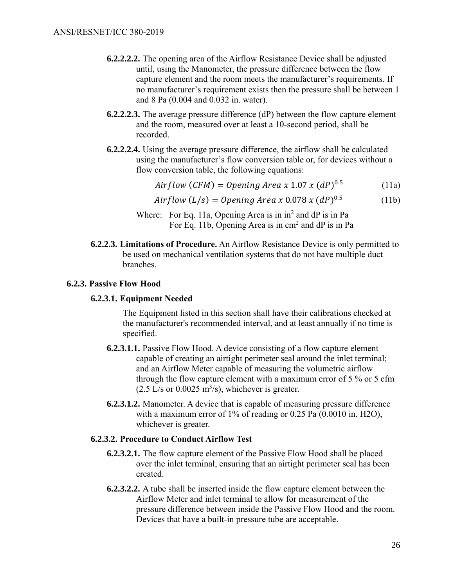- **6.2.2.2.2.** The opening area of the Airflow Resistance Device shall be adjusted until, using the Manometer, the pressure difference between the flow capture element and the room meets the manufacturer's requirements. If no manufacturer's requirement exists then the pressure shall be between 1 and 8 Pa (0.004 and 0.032 in. water).
- **6.2.2.2.3.** The average pressure difference (dP) between the flow capture element and the room, measured over at least a 10-second period, shall be recorded.
- **6.2.2.2.4.** Using the average pressure difference, the airflow shall be calculated using the manufacturer's flow conversion table or, for devices without a flow conversion table, the following equations:

$$
Airflow (CFM) = Opening Area x 1.07 x (dP)^{0.5}
$$
 (11a)

*Airflow* (
$$
L/s
$$
) = *Opening Area* x 0.078 x (*dP*)<sup>0.5</sup> (11b)

- Where: For Eq. 11a, Opening Area is in  $in^2$  and dP is in Pa For Eq. 11b, Opening Area is in cm<sup>2</sup> and dP is in Pa
- **6.2.2.3. Limitations of Procedure.** An Airflow Resistance Device is only permitted to be used on mechanical ventilation systems that do not have multiple duct branches.

#### **6.2.3. Passive Flow Hood**

#### **6.2.3.1. Equipment Needed**

The Equipment listed in this section shall have their calibrations checked at the manufacturer's recommended interval, and at least annually if no time is specified.

- **6.2.3.1.1.** Passive Flow Hood. A device consisting of a flow capture element capable of creating an airtight perimeter seal around the inlet terminal; and an Airflow Meter capable of measuring the volumetric airflow through the flow capture element with a maximum error of 5 % or 5 cfm  $(2.5$  L/s or 0.0025 m<sup>3</sup>/s), whichever is greater.
- **6.2.3.1.2.** Manometer. A device that is capable of measuring pressure difference with a maximum error of 1% of reading or 0.25 Pa (0.0010 in. H2O), whichever is greater.

#### **6.2.3.2. Procedure to Conduct Airflow Test**

- **6.2.3.2.1.** The flow capture element of the Passive Flow Hood shall be placed over the inlet terminal, ensuring that an airtight perimeter seal has been created.
- **6.2.3.2.2.** A tube shall be inserted inside the flow capture element between the Airflow Meter and inlet terminal to allow for measurement of the pressure difference between inside the Passive Flow Hood and the room. Devices that have a built-in pressure tube are acceptable.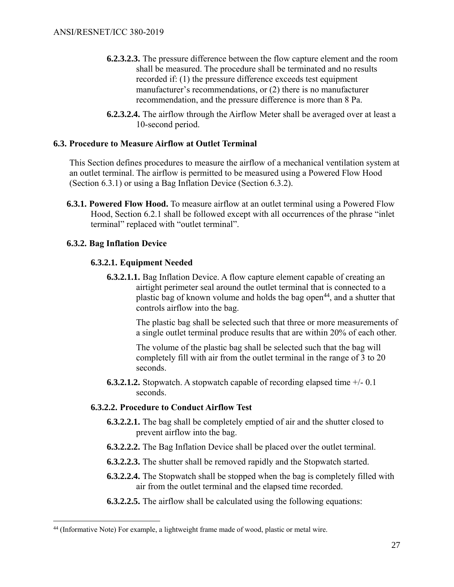- **6.2.3.2.3.** The pressure difference between the flow capture element and the room shall be measured. The procedure shall be terminated and no results recorded if: (1) the pressure difference exceeds test equipment manufacturer's recommendations, or (2) there is no manufacturer recommendation, and the pressure difference is more than 8 Pa.
- **6.2.3.2.4.** The airflow through the Airflow Meter shall be averaged over at least a 10-second period.

## **6.3. Procedure to Measure Airflow at Outlet Terminal**

This Section defines procedures to measure the airflow of a mechanical ventilation system at an outlet terminal. The airflow is permitted to be measured using a Powered Flow Hood (Section 6.3.1) or using a Bag Inflation Device (Section 6.3.2).

**6.3.1. Powered Flow Hood.** To measure airflow at an outlet terminal using a Powered Flow Hood, Section 6.2.1 shall be followed except with all occurrences of the phrase "inlet terminal" replaced with "outlet terminal".

## **6.3.2. Bag Inflation Device**

 $\overline{a}$ 

## **6.3.2.1. Equipment Needed**

**6.3.2.1.1.** Bag Inflation Device. A flow capture element capable of creating an airtight perimeter seal around the outlet terminal that is connected to a plastic bag of known volume and holds the bag open<sup>44</sup>, and a shutter that controls airflow into the bag.

> The plastic bag shall be selected such that three or more measurements of a single outlet terminal produce results that are within 20% of each other.

The volume of the plastic bag shall be selected such that the bag will completely fill with air from the outlet terminal in the range of 3 to 20 seconds.

**6.3.2.1.2.** Stopwatch. A stopwatch capable of recording elapsed time +/- 0.1 seconds.

## **6.3.2.2. Procedure to Conduct Airflow Test**

- **6.3.2.2.1.** The bag shall be completely emptied of air and the shutter closed to prevent airflow into the bag.
- **6.3.2.2.2.** The Bag Inflation Device shall be placed over the outlet terminal.
- **6.3.2.2.3.** The shutter shall be removed rapidly and the Stopwatch started.
- **6.3.2.2.4.** The Stopwatch shall be stopped when the bag is completely filled with air from the outlet terminal and the elapsed time recorded.
- **6.3.2.2.5.** The airflow shall be calculated using the following equations:

<sup>&</sup>lt;sup>44</sup> (Informative Note) For example, a lightweight frame made of wood, plastic or metal wire.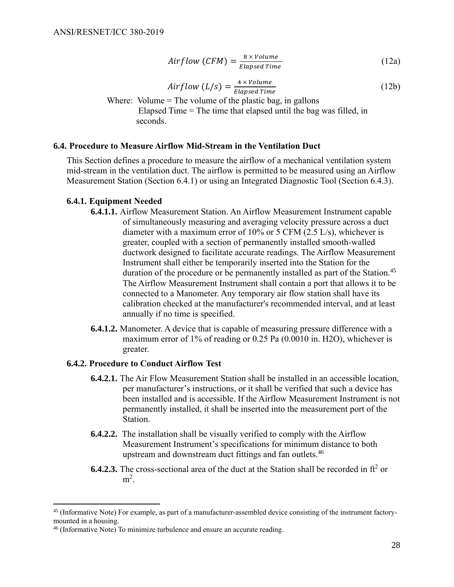$$
Airflow (CFM) = \frac{8 \times Volume}{Elapse d Time}
$$
 (12a)

$$
Airflow (L/s) = \frac{4 \times Volume}{Elapse d Time}
$$
 (12b)

Where: Volume  $=$  The volume of the plastic bag, in gallons Elapsed Time = The time that elapsed until the bag was filled, in seconds.

#### **6.4. Procedure to Measure Airflow Mid-Stream in the Ventilation Duct**

This Section defines a procedure to measure the airflow of a mechanical ventilation system mid-stream in the ventilation duct. The airflow is permitted to be measured using an Airflow Measurement Station (Section 6.4.1) or using an Integrated Diagnostic Tool (Section 6.4.3).

#### **6.4.1. Equipment Needed**

- **6.4.1.1.** Airflow Measurement Station. An Airflow Measurement Instrument capable of simultaneously measuring and averaging velocity pressure across a duct diameter with a maximum error of 10% or 5 CFM (2.5 L/s), whichever is greater, coupled with a section of permanently installed smooth-walled ductwork designed to facilitate accurate readings. The Airflow Measurement Instrument shall either be temporarily inserted into the Station for the duration of the procedure or be permanently installed as part of the Station.<sup>45</sup> The Airflow Measurement Instrument shall contain a port that allows it to be connected to a Manometer. Any temporary air flow station shall have its calibration checked at the manufacturer's recommended interval, and at least annually if no time is specified.
- **6.4.1.2.** Manometer. A device that is capable of measuring pressure difference with a maximum error of 1% of reading or 0.25 Pa (0.0010 in. H2O), whichever is greater.

## **6.4.2. Procedure to Conduct Airflow Test**

- **6.4.2.1.** The Air Flow Measurement Station shall be installed in an accessible location, per manufacturer's instructions, or it shall be verified that such a device has been installed and is accessible. If the Airflow Measurement Instrument is not permanently installed, it shall be inserted into the measurement port of the Station.
- **6.4.2.2.** The installation shall be visually verified to comply with the Airflow Measurement Instrument's specifications for minimum distance to both upstream and downstream duct fittings and fan outlets.<sup>46</sup>
- **6.4.2.3.** The cross-sectional area of the duct at the Station shall be recorded in  $ft<sup>2</sup>$  or  $m^2$ .

<sup>45</sup> (Informative Note) For example, as part of a manufacturer-assembled device consisting of the instrument factorymounted in a housing.

<sup>46</sup> (Informative Note) To minimize turbulence and ensure an accurate reading.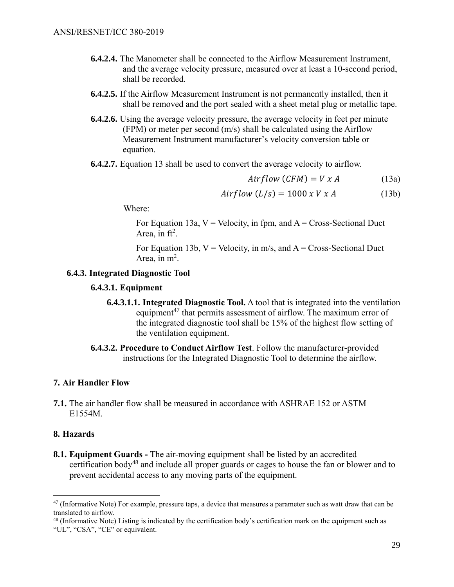- **6.4.2.4.** The Manometer shall be connected to the Airflow Measurement Instrument, and the average velocity pressure, measured over at least a 10-second period, shall be recorded.
- **6.4.2.5.** If the Airflow Measurement Instrument is not permanently installed, then it shall be removed and the port sealed with a sheet metal plug or metallic tape.
- **6.4.2.6.** Using the average velocity pressure, the average velocity in feet per minute (FPM) or meter per second (m/s) shall be calculated using the Airflow Measurement Instrument manufacturer's velocity conversion table or equation.
- **6.4.2.7.** Equation 13 shall be used to convert the average velocity to airflow.

 $Airflow (CFM) = V x A$  (13a)

 $Airflow (L/s) = 1000 x V x A$  (13b)

Where:

For Equation 13a,  $V =$  Velocity, in fpm, and  $A =$  Cross-Sectional Duct Area, in  $ft^2$ .

For Equation 13b,  $V =$  Velocity, in m/s, and  $A =$  Cross-Sectional Duct Area, in  $m^2$ .

## **6.4.3. Integrated Diagnostic Tool**

#### **6.4.3.1. Equipment**

- **6.4.3.1.1. Integrated Diagnostic Tool.** A tool that is integrated into the ventilation equipment<sup>47</sup> that permits assessment of airflow. The maximum error of the integrated diagnostic tool shall be 15% of the highest flow setting of the ventilation equipment.
- **6.4.3.2. Procedure to Conduct Airflow Test**. Follow the manufacturer-provided instructions for the Integrated Diagnostic Tool to determine the airflow.

#### **7. Air Handler Flow**

**7.1.** The air handler flow shall be measured in accordance with ASHRAE 152 or ASTM E1554M.

#### **8. Hazards**

 $\overline{a}$ 

**8.1. Equipment Guards -** The air-moving equipment shall be listed by an accredited certification body<sup>48</sup> and include all proper guards or cages to house the fan or blower and to prevent accidental access to any moving parts of the equipment.

 $47$  (Informative Note) For example, pressure taps, a device that measures a parameter such as watt draw that can be translated to airflow.

 $^{48}$  (Informative Note) Listing is indicated by the certification body's certification mark on the equipment such as "UL", "CSA", "CE" or equivalent.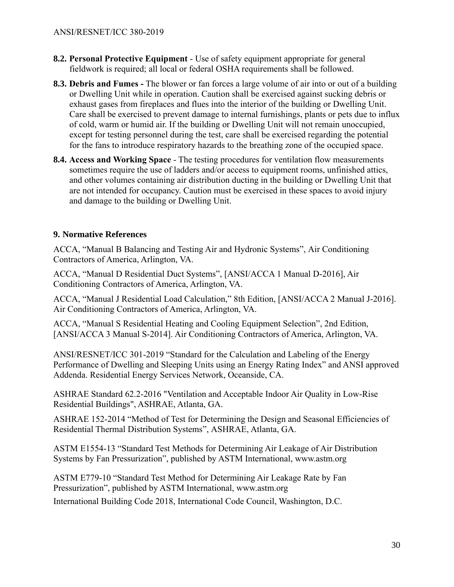- **8.2. Personal Protective Equipment** Use of safety equipment appropriate for general fieldwork is required; all local or federal OSHA requirements shall be followed.
- **8.3. Debris and Fumes -** The blower or fan forces a large volume of air into or out of a building or Dwelling Unit while in operation. Caution shall be exercised against sucking debris or exhaust gases from fireplaces and flues into the interior of the building or Dwelling Unit. Care shall be exercised to prevent damage to internal furnishings, plants or pets due to influx of cold, warm or humid air. If the building or Dwelling Unit will not remain unoccupied, except for testing personnel during the test, care shall be exercised regarding the potential for the fans to introduce respiratory hazards to the breathing zone of the occupied space.
- **8.4. Access and Working Space** The testing procedures for ventilation flow measurements sometimes require the use of ladders and/or access to equipment rooms, unfinished attics, and other volumes containing air distribution ducting in the building or Dwelling Unit that are not intended for occupancy. Caution must be exercised in these spaces to avoid injury and damage to the building or Dwelling Unit.

## **9. Normative References**

ACCA, "Manual B Balancing and Testing Air and Hydronic Systems", Air Conditioning Contractors of America, Arlington, VA.

ACCA, "Manual D Residential Duct Systems", [ANSI/ACCA 1 Manual D-2016], Air Conditioning Contractors of America, Arlington, VA.

ACCA, "Manual J Residential Load Calculation," 8th Edition, [ANSI/ACCA 2 Manual J-2016]. Air Conditioning Contractors of America, Arlington, VA.

ACCA, "Manual S Residential Heating and Cooling Equipment Selection", 2nd Edition, [ANSI/ACCA 3 Manual S-2014]. Air Conditioning Contractors of America, Arlington, VA.

ANSI/RESNET/ICC 301-2019 "Standard for the Calculation and Labeling of the Energy Performance of Dwelling and Sleeping Units using an Energy Rating Index" and ANSI approved Addenda. Residential Energy Services Network, Oceanside, CA.

ASHRAE Standard 62.2-2016 "Ventilation and Acceptable Indoor Air Quality in Low-Rise Residential Buildings", ASHRAE, Atlanta, GA.

ASHRAE 152-2014 "Method of Test for Determining the Design and Seasonal Efficiencies of Residential Thermal Distribution Systems", ASHRAE, Atlanta, GA.

ASTM E1554-13 "Standard Test Methods for Determining Air Leakage of Air Distribution Systems by Fan Pressurization", published by ASTM International, www.astm.org

ASTM E779-10 "Standard Test Method for Determining Air Leakage Rate by Fan Pressurization", published by ASTM International, www.astm.org

International Building Code 2018, International Code Council, Washington, D.C.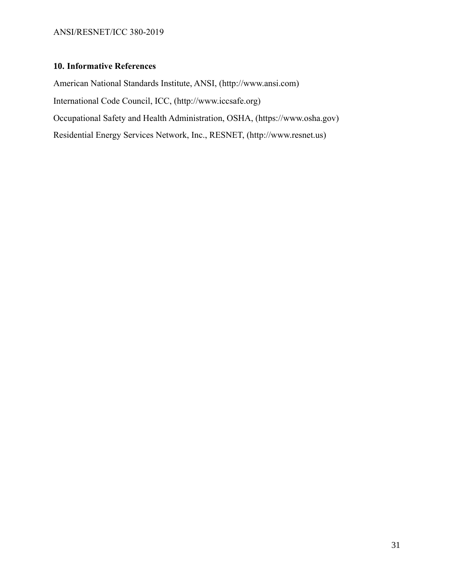## **10. Informative References**

American National Standards Institute, ANSI, (http://www.ansi.com) International Code Council, ICC, (http://www.iccsafe.org) Occupational Safety and Health Administration, OSHA, (https://www.osha.gov) Residential Energy Services Network, Inc., RESNET, [\(http://www.resnet.us\)](http://www.resnet.us/)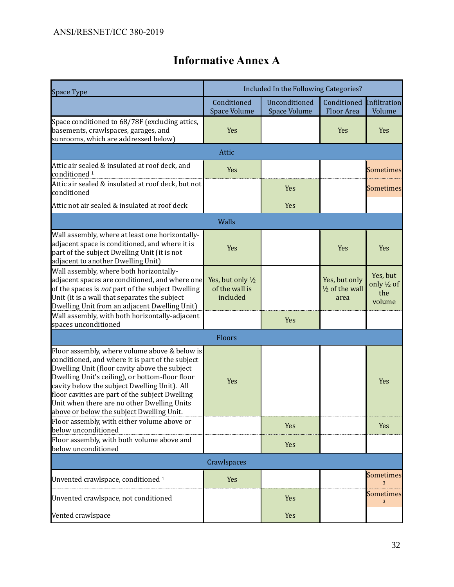# **Informative Annex A**

| <b>Space Type</b>                                                                                                                                                                                                                                                                                                                                                                                    | Included In the Following Categories?           |                               |                                          |                                          |  |  |  |
|------------------------------------------------------------------------------------------------------------------------------------------------------------------------------------------------------------------------------------------------------------------------------------------------------------------------------------------------------------------------------------------------------|-------------------------------------------------|-------------------------------|------------------------------------------|------------------------------------------|--|--|--|
|                                                                                                                                                                                                                                                                                                                                                                                                      | Conditioned<br>Space Volume                     | Unconditioned<br>Space Volume | Conditioned<br>Floor Area                | Infiltration<br>Volume                   |  |  |  |
| Space conditioned to 68/78F (excluding attics,<br>basements, crawlspaces, garages, and<br>sunrooms, which are addressed below)                                                                                                                                                                                                                                                                       | Yes                                             |                               | Yes                                      | Yes                                      |  |  |  |
| Attic                                                                                                                                                                                                                                                                                                                                                                                                |                                                 |                               |                                          |                                          |  |  |  |
| Attic air sealed & insulated at roof deck, and<br>conditioned <sup>1</sup>                                                                                                                                                                                                                                                                                                                           | Yes                                             |                               |                                          | <b>Sometimes</b>                         |  |  |  |
| Attic air sealed & insulated at roof deck, but not<br>conditioned                                                                                                                                                                                                                                                                                                                                    |                                                 | Yes                           |                                          | <b>Sometimes</b>                         |  |  |  |
| Attic not air sealed & insulated at roof deck                                                                                                                                                                                                                                                                                                                                                        |                                                 | Yes                           |                                          |                                          |  |  |  |
| Walls                                                                                                                                                                                                                                                                                                                                                                                                |                                                 |                               |                                          |                                          |  |  |  |
| Wall assembly, where at least one horizontally-<br>adjacent space is conditioned, and where it is<br>part of the subject Dwelling Unit (it is not<br>adjacent to another Dwelling Unit)                                                                                                                                                                                                              | Yes                                             |                               | Yes                                      | Yes                                      |  |  |  |
| Wall assembly, where both horizontally-<br>adjacent spaces are conditioned, and where one<br>of the spaces is not part of the subject Dwelling<br>Unit (it is a wall that separates the subject<br>Dwelling Unit from an adjacent Dwelling Unit)                                                                                                                                                     | Yes, but only 1/2<br>of the wall is<br>included |                               | Yes, but only<br>1/2 of the wall<br>area | Yes, but<br>only 1/2 of<br>the<br>volume |  |  |  |
| Wall assembly, with both horizontally-adjacent<br>spaces unconditioned                                                                                                                                                                                                                                                                                                                               |                                                 | Yes                           |                                          |                                          |  |  |  |
| Floors                                                                                                                                                                                                                                                                                                                                                                                               |                                                 |                               |                                          |                                          |  |  |  |
| Floor assembly, where volume above & below is<br>conditioned, and where it is part of the subject<br>Dwelling Unit (floor cavity above the subject<br>Dwelling Unit's ceiling), or bottom-floor floor<br>cavity below the subject Dwelling Unit). All<br>floor cavities are part of the subject Dwelling<br>Unit when there are no other Dwelling Units<br>above or below the subject Dwelling Unit. | Yes                                             |                               |                                          | Yes                                      |  |  |  |
| Floor assembly, with either volume above or<br>below unconditioned                                                                                                                                                                                                                                                                                                                                   |                                                 | Yes                           |                                          | Yes                                      |  |  |  |
| Floor assembly, with both volume above and<br>below unconditioned                                                                                                                                                                                                                                                                                                                                    |                                                 | Yes                           |                                          |                                          |  |  |  |
| Crawlspaces                                                                                                                                                                                                                                                                                                                                                                                          |                                                 |                               |                                          |                                          |  |  |  |
| Unvented crawlspace, conditioned <sup>1</sup>                                                                                                                                                                                                                                                                                                                                                        | Yes                                             |                               |                                          | <b>Sometimes</b>                         |  |  |  |
| Unvented crawlspace, not conditioned                                                                                                                                                                                                                                                                                                                                                                 |                                                 | Yes                           |                                          | <b>Sometimes</b><br>3                    |  |  |  |
| Vented crawlspace                                                                                                                                                                                                                                                                                                                                                                                    |                                                 | Yes                           |                                          |                                          |  |  |  |